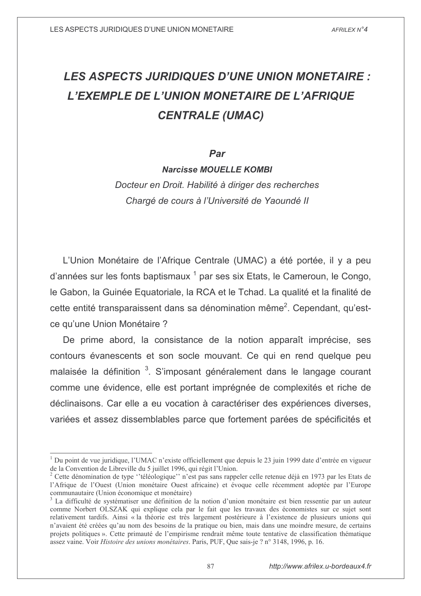# **LES ASPECTS JURIDIQUES D'UNE UNION MONETAIRE :** L'EXEMPLE DE L'UNION MONETAIRE DE L'AFRIQUE **CENTRALE (UMAC)**

### Par

**Narcisse MOUELLE KOMBI** 

Docteur en Droit. Habilité à diriger des recherches Chargé de cours à l'Université de Yaoundé II

L'Union Monétaire de l'Afrique Centrale (UMAC) a été portée, il y a peu d'années sur les fonts baptismaux <sup>1</sup> par ses six Etats, le Cameroun, le Congo, le Gabon, la Guinée Equatoriale, la RCA et le Tchad. La qualité et la finalité de cette entité transparaissent dans sa dénomination même<sup>2</sup>. Cependant, qu'estce qu'une Union Monétaire ?

De prime abord, la consistance de la notion apparaît imprécise, ses contours évanescents et son socle mouvant. Ce qui en rend quelque peu malaisée la définition <sup>3</sup>. S'imposant généralement dans le langage courant comme une évidence, elle est portant imprégnée de complexités et riche de déclinaisons. Car elle a eu vocation à caractériser des expériences diverses, variées et assez dissemblables parce que fortement parées de spécificités et

 $1$  Du point de vue juridique, l'UMAC n'existe officiellement que depuis le 23 juin 1999 date d'entrée en vigueur de la Convention de Libreville du 5 juillet 1996, qui régit l'Union.

<sup>&</sup>lt;sup>2</sup> Cette dénomination de type "téléologique" n'est pas sans rappeler celle retenue déjà en 1973 par les Etats de l'Afrique de l'Ouest (Union monétaire Ouest africaine) et évoque celle récemment adoptée par l'Europe communautaire (Union économique et monétaire)

 $3$  La difficulté de systématiser une définition de la notion d'union monétaire est bien ressentie par un auteur comme Norbert OLSZAK qui explique cela par le fait que les travaux des économistes sur ce sujet sont relativement tardifs. Ainsi « la théorie est très largement postérieure à l'existence de plusieurs unions qui n'avaient été créées qu'au nom des besoins de la pratique ou bien, mais dans une moindre mesure, de certains projets politiques ». Cette primauté de l'empirisme rendrait même toute tentative de classification thématique assez vaine. Voir Histoire des unions monétaires. Paris, PUF, Que sais-je ? n° 3148, 1996, p. 16.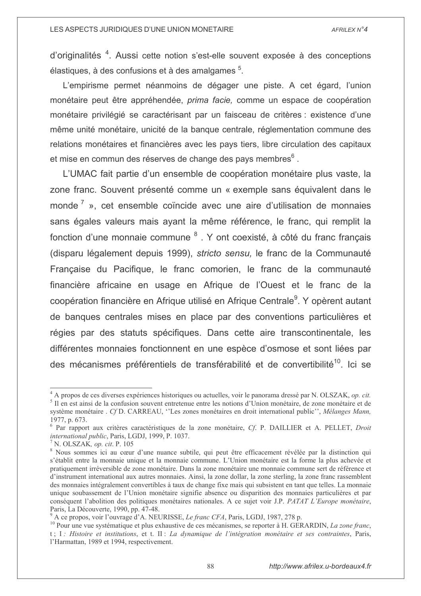d'originalités<sup>4</sup>. Aussi cette notion s'est-elle souvent exposée à des conceptions élastiques, à des confusions et à des amalgames <sup>5</sup>.

L'empirisme permet néanmoins de dégager une piste. A cet égard, l'union monétaire peut être appréhendée, prima facie, comme un espace de coopération monétaire privilégié se caractérisant par un faisceau de critères : existence d'une même unité monétaire, unicité de la banque centrale, réglementation commune des relations monétaires et financières avec les pays tiers, libre circulation des capitaux et mise en commun des réserves de change des pays membres<sup>6</sup>.

L'UMAC fait partie d'un ensemble de coopération monétaire plus vaste, la zone franc. Souvent présenté comme un « exemple sans équivalent dans le monde<sup> $\tau$ </sup> », cet ensemble coïncide avec une aire d'utilisation de monnaies sans égales valeurs mais avant la même référence, le franc, qui remplit la fonction d'une monnaie commune <sup>8</sup>. Y ont coexisté, à côté du franc francais (disparu légalement depuis 1999), stricto sensu, le franc de la Communauté Française du Pacifique, le franc comorien, le franc de la communauté financière africaine en usage en Afrique de l'Ouest et le franc de la coopération financière en Afrique utilisé en Afrique Centrale<sup>9</sup>. Y opèrent autant de banques centrales mises en place par des conventions particulières et régies par des statuts spécifiques. Dans cette aire transcontinentale, les différentes monnaies fonctionnent en une espèce d'osmose et sont liées par des mécanismes préférentiels de transférabilité et de convertibilité<sup>10</sup>. Ici se

 $4$  A propos de ces diverses expériences historiques ou actuelles, voir le panorama dressé par N. OLSZAK, *op. cit.* <sup>5</sup> Il en est ainsi de la confusion souvent entretenue entre les notions d'Union monétaire, de zone monétaire et de système monétaire . Cf D. CARREAU, "Les zones monétaires en droit international public", Mélanges Mann, 1977, p. 673.

 $6$  Par rapport aux critères caractéristiques de la zone monétaire, Cf. P. DAILLIER et A. PELLET, Droit international public, Paris, LGDJ, 1999, P. 1037.

 $\frac{7}{1}$  N. OLSZAK, *op. cit.* P. 105

<sup>&</sup>lt;sup>8</sup> Nous sommes ici au cœur d'une nuance subtile, qui peut être efficacement révélée par la distinction qui s'établit entre la monnaie unique et la monnaie commune. L'Union monétaire est la forme la plus achevée et pratiquement irréversible de zone monétaire. Dans la zone monétaire une monnaie commune sert de référence et d'instrument international aux autres monnaies. Ainsi, la zone dollar, la zone sterling, la zone franc rassemblent des monnaies intégralement convertibles à taux de change fixe mais qui subsistent en tant que telles. La monnaie unique soubassement de l'Union monétaire signifie absence ou disparition des monnaies particulières et par conséquent l'abolition des politiques monétaires nationales. A ce sujet voir J.P. PATAT L'Europe monétaire, Paris, La Découverte, 1990, pp. 47-48.

A ce propos, voir l'ouvrage d'A. NEURISSE, *Le franc CFA*, Paris, LGDJ, 1987, 278 p.

<sup>&</sup>lt;sup>10</sup> Pour une vue systématique et plus exhaustive de ces mécanismes, se reporter à H. GERARDIN, La zone franc, t; I: Histoire et institutions, et t. II: La dynamique de l'intégration monétaire et ses contraintes, Paris, l'Harmattan, 1989 et 1994, respectivement.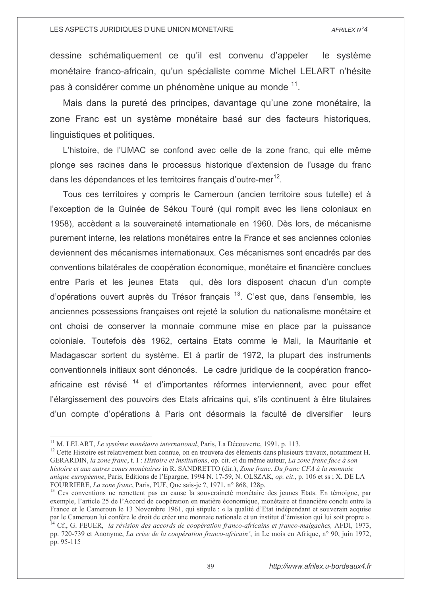dessine schématiquement ce qu'il est convenu d'appeler le système monétaire franco-africain, qu'un spécialiste comme Michel LELART n'hésite pas à considérer comme un phénomène unique au monde <sup>11</sup>.

Mais dans la pureté des principes, davantage qu'une zone monétaire, la zone Franc est un système monétaire basé sur des facteurs historiques, linguistiques et politiques.

L'histoire, de l'UMAC se confond avec celle de la zone franc, qui elle même plonge ses racines dans le processus historique d'extension de l'usage du franc dans les dépendances et les territoires français d'outre-mer<sup>12</sup>.

Tous ces territoires y compris le Cameroun (ancien territoire sous tutelle) et à l'exception de la Guinée de Sékou Touré (qui rompit avec les liens coloniaux en 1958), accèdent a la souveraineté internationale en 1960. Dès lors, de mécanisme purement interne, les relations monétaires entre la France et ses anciennes colonies deviennent des mécanismes internationaux. Ces mécanismes sont encadrés par des conventions bilatérales de coopération économique, monétaire et financière conclues entre Paris et les jeunes Etats qui, dès lors disposent chacun d'un compte d'opérations ouvert auprès du Trésor français <sup>13</sup>. C'est que, dans l'ensemble, les anciennes possessions françaises ont rejeté la solution du nationalisme monétaire et ont choisi de conserver la monnaie commune mise en place par la puissance coloniale. Toutefois dès 1962, certains Etats comme le Mali, la Mauritanie et Madagascar sortent du système. Et à partir de 1972, la plupart des instruments conventionnels initiaux sont dénoncés. Le cadre juridique de la coopération francoafricaine est révisé <sup>14</sup> et d'importantes réformes interviennent, avec pour effet l'élargissement des pouvoirs des Etats africains qui, s'ils continuent à être titulaires d'un compte d'opérations à Paris ont désormais la faculté de diversifier leurs

<sup>&</sup>lt;sup>11</sup> M. LELART, *Le système monétaire international*, Paris, La Découverte, 1991, p. 113.

<sup>&</sup>lt;sup>12</sup> Cette Histoire est relativement bien connue, on en trouvera des éléments dans plusieurs travaux, notamment H. GERARDIN, la zone franc, t. I : Histoire et institutions, op. cit. et du même auteur, La zone franc face à son histoire et aux autres zones monétaires in R. SANDRETTO (dir.), Zone franc. Du franc CFA à la monnaie unique européenne, Paris, Editions de l'Epargne, 1994 N. 17-59, N. OLSZAK, op. cit., p. 106 et ss ; X. DE LA FOURRIERE, La zone franc, Paris, PUF, Que sais-je ?, 1971, n° 868, 128p.

<sup>&</sup>lt;sup>13</sup> Ces conventions ne remettent pas en cause la souveraineté monétaire des jeunes Etats. En témoigne, par exemple, l'article 25 de l'Accord de coopération en matière économique, monétaire et financière conclu entre la France et le Cameroun le 13 Novembre 1961, qui stipule : « la qualité d'Etat indépendant et souverain acquise par le Cameroun lui confère le droit de créer une monnaie nationale et un institut d'émission qui lui soit propre ».  $^{14}$  Cf., G. FEUER, la révision des accords de coopération franco-africains et franco-malgaches, AFDI, 1973,

pp. 720-739 et Anonyme, La crise de la coopération franco-africain', in Le mois en Afrique, n° 90, juin 1972, pp. 95-115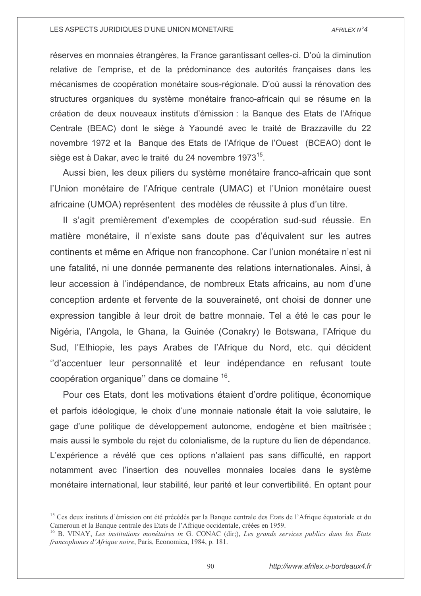réserves en monnaies étrangères, la France garantissant celles-ci. D'où la diminution relative de l'emprise, et de la prédominance des autorités françaises dans les mécanismes de coopération monétaire sous-régionale. D'où aussi la rénovation des structures organiques du système monétaire franco-africain qui se résume en la création de deux nouveaux instituts d'émission : la Banque des Etats de l'Afrique Centrale (BEAC) dont le siège à Yaoundé avec le traité de Brazzaville du 22 novembre 1972 et la Banque des Etats de l'Afrique de l'Ouest (BCEAO) dont le siège est à Dakar, avec le traité du 24 novembre 1973<sup>15</sup>.

Aussi bien, les deux piliers du système monétaire franco-africain que sont l'Union monétaire de l'Afrique centrale (UMAC) et l'Union monétaire ouest africaine (UMOA) représentent des modèles de réussite à plus d'un titre.

Il s'agit premièrement d'exemples de coopération sud-sud réussie. En matière monétaire, il n'existe sans doute pas d'équivalent sur les autres continents et même en Afrique non francophone. Car l'union monétaire n'est ni une fatalité, ni une donnée permanente des relations internationales. Ainsi, à leur accession à l'indépendance, de nombreux Etats africains, au nom d'une conception ardente et fervente de la souveraineté, ont choisi de donner une expression tangible à leur droit de battre monnaie. Tel a été le cas pour le Nigéria, l'Angola, le Ghana, la Guinée (Conakry) le Botswana, l'Afrique du Sud, l'Ethiopie, les pays Arabes de l'Afrique du Nord, etc. qui décident "d'accentuer leur personnalité et leur indépendance en refusant toute coopération organique" dans ce domaine 16.

Pour ces Etats, dont les motivations étaient d'ordre politique, économique et parfois idéologique, le choix d'une monnaie nationale était la voie salutaire, le gage d'une politique de développement autonome, endogène et bien maîtrisée ; mais aussi le symbole du rejet du colonialisme, de la rupture du lien de dépendance. L'expérience a révélé que ces options n'allaient pas sans difficulté, en rapport notamment avec l'insertion des nouvelles monnaies locales dans le système monétaire international, leur stabilité, leur parité et leur convertibilité. En optant pour

90

<sup>&</sup>lt;sup>15</sup> Ces deux instituts d'émission ont été précédés par la Banque centrale des Etats de l'Afrique équatoriale et du Cameroun et la Banque centrale des Etats de l'Afrique occidentale, créées en 1959.

 $^{16}$  B. VINAY, Les institutions monétaires in G. CONAC (dir;), Les grands services publics dans les Etats francophones d'Afrique noire, Paris, Economica, 1984, p. 181.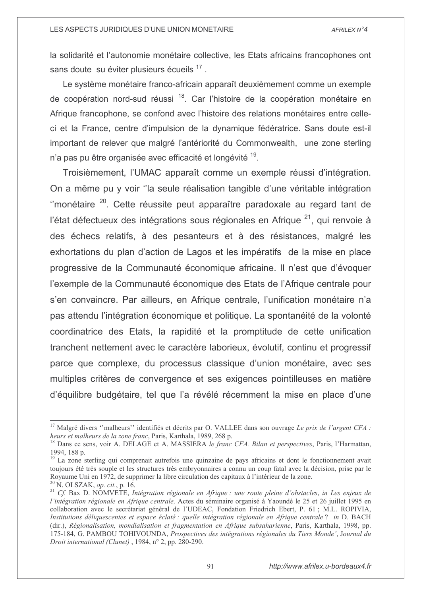la solidarité et l'autonomie monétaire collective, les Etats africains francophones ont sans doute su éviter plusieurs écueils 17.

Le système monétaire franco-africain apparaît deuxièmement comme un exemple de coopération nord-sud réussi <sup>18</sup>. Car l'histoire de la coopération monétaire en Afrique francophone, se confond avec l'histoire des relations monétaires entre celleci et la France, centre d'impulsion de la dynamique fédératrice. Sans doute est-il important de relever que malgré l'antériorité du Commonwealth, une zone sterling n'a pas pu être organisée avec efficacité et longévité <sup>19</sup>.

Troisièmement, l'UMAC apparaît comme un exemple réussi d'intégration. On a même pu y voir "la seule réalisation tangible d'une véritable intégration "monétaire <sup>20</sup>. Cette réussite peut apparaître paradoxale au regard tant de l'état défectueux des intégrations sous régionales en Afrique<sup>21</sup>, qui renvoie à des échecs relatifs, à des pesanteurs et à des résistances, malgré les exhortations du plan d'action de Lagos et les impératifs de la mise en place progressive de la Communauté économique africaine. Il n'est que d'évoquer l'exemple de la Communauté économique des Etats de l'Afrique centrale pour s'en convaincre. Par ailleurs, en Afrique centrale, l'unification monétaire n'a pas attendu l'intégration économique et politique. La spontanéité de la volonté coordinatrice des Etats, la rapidité et la promptitude de cette unification tranchent nettement avec le caractère laborieux, évolutif, continu et progressif parce que complexe, du processus classique d'union monétaire, avec ses multiples critères de convergence et ses exigences pointilleuses en matière d'équilibre budgétaire, tel que l'a révélé récemment la mise en place d'une

<sup>&</sup>lt;sup>17</sup> Malgré divers "malheurs" identifiés et décrits par O. VALLEE dans son ouvrage Le prix de l'argent CFA : heurs et malheurs de la zone franc, Paris, Karthala, 1989, 268 p.

<sup>&</sup>lt;sup>18</sup> Dans ce sens, voir A. DELAGE et A. MASSIERA le franc CFA. Bilan et perspectives, Paris, l'Harmattan, 1994, 188 p.

<sup>&</sup>lt;sup>19</sup> La zone sterling qui comprenait autrefois une quinzaine de pays africains et dont le fonctionnement avait toujours été très souple et les structures très embryonnaires a connu un coup fatal avec la décision, prise par le Royaume Uni en 1972, de supprimer la libre circulation des capitaux à l'intérieur de la zone.

 $20$  N. OLSZAK, op. cit., p. 16.

<sup>&</sup>lt;sup>21</sup> Cf. Bax D. NOMVETE, Intégration régionale en Afrique : une route pleine d'obstacles, in Les enjeux de l'intégration régionale en Afrique centrale, Actes du séminaire organisé à Yaoundé le 25 et 26 juillet 1995 en collaboration avec le secrétariat général de l'UDEAC, Fondation Friedrich Ebert, P. 61; M.L. ROPIVIA, Institutions déliquescentes et espace éclaté : quelle intégration régionale en Afrique centrale ? in D. BACH (dir.), Régionalisation, mondialisation et fragmentation en Afrique subsaharienne, Paris, Karthala, 1998, pp. 175-184, G. PAMBOU TOHIVOUNDA, Prospectives des intégrations régionales du Tiers Monde', Journal du Droit international (Clunet), 1984, n° 2, pp. 280-290.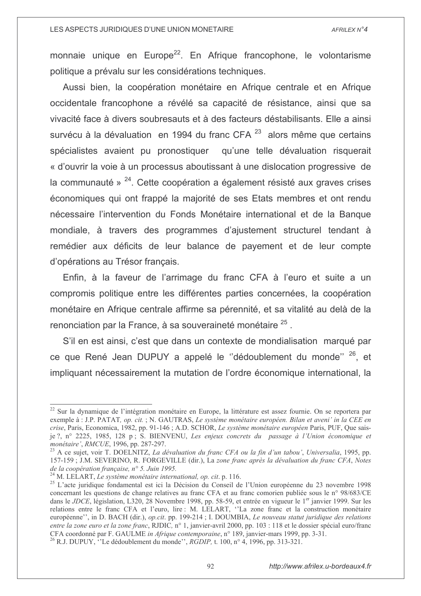monnaie unique en Europe<sup>22</sup>. En Afrique francophone, le volontarisme politique a prévalu sur les considérations techniques.

Aussi bien, la coopération monétaire en Afrique centrale et en Afrique occidentale francophone a révélé sa capacité de résistance, ainsi que sa vivacité face à divers soubresauts et à des facteurs déstabilisants. Elle a ainsi survécu à la dévaluation en 1994 du franc CFA<sup>23</sup> alors même que certains spécialistes avaient pu pronostiquer qu'une telle dévaluation risquerait « d'ouvrir la voie à un processus aboutissant à une dislocation progressive de la communauté »  $^{24}$ . Cette coopération a également résisté aux graves crises économiques qui ont frappé la majorité de ses Etats membres et ont rendu nécessaire l'intervention du Fonds Monétaire international et de la Banque mondiale, à travers des programmes d'ajustement structurel tendant à remédier aux déficits de leur balance de payement et de leur compte d'opérations au Trésor français.

Enfin, à la faveur de l'arrimage du franc CFA à l'euro et suite a un compromis politique entre les différentes parties concernées, la coopération monétaire en Afrique centrale affirme sa pérennité, et sa vitalité au delà de la renonciation par la France, à sa souveraineté monétaire <sup>25</sup>.

S'il en est ainsi, c'est que dans un contexte de mondialisation marqué par ce que René Jean DUPUY a appelé le "dédoublement du monde" 26, et impliquant nécessairement la mutation de l'ordre économique international, la

<sup>&</sup>lt;sup>22</sup> Sur la dynamique de l'intégration monétaire en Europe, la littérature est assez fournie. On se reportera par exemple à : J.P. PATAT, op. cit. ; N. GAUTRAS, Le système monétaire européen. Bilan et aveni' in la CEE en crise, Paris, Economica, 1982, pp. 91-146 ; A.D. SCHOR, Le système monétaire européen Paris, PUF, Que saisje ?, n° 2225, 1985, 128 p; S. BIENVENU, Les enjeux concrets du passage à l'Union économique et monétaire', RMCUE, 1996, pp. 287-297.

<sup>&</sup>lt;sup>23</sup> A ce sujet, voir T. DOELNITZ, La dévaluation du franc CFA ou la fin d'un tabou', Universalia, 1995, pp. 157-159; J.M. SEVERINO, R. FORGEVILLE (dir.), La zone franc après la dévaluation du franc CFA, Notes de la coopération française, n° 5. Juin 1995.

<sup>&</sup>lt;sup>24</sup> M. LELART, *Le système monétaire international, op. cit.* p. 116.

<sup>&</sup>lt;sup>25</sup> L'acte juridique fondamental est ici la Décision du Conseil de l'Union européenne du 23 novembre 1998 concernant les questions de change relatives au franc CFA et au franc comorien publiée sous le n° 98/683/CE dans le JDCE, législation, L320, 28 Novembre 1998, pp. 58-59, et entrée en vigueur le 1<sup>er</sup> janvier 1999. Sur les relations entre le franc CFA et l'euro, lire : M. LELART, "La zone franc et la construction monétaire européenne", in D. BACH (dir.), op.cit. pp. 199-214; I. DOUMBIA, Le nouveau statut juridique des relations entre la zone euro et la zone franc, RJDIC, n° 1, janvier-avril 2000, pp. 103 : 118 et le dossier spécial euro/franc CFA coordonné par F. GAULME in Afrique contemporaine, n° 189, janvier-mars 1999, pp. 3-31. <sup>26</sup> R.J. DUPUY, <sup>26</sup> Le dédoublement du monde'', *RGDIP*, t. 100, n° 4, 1996, pp. 313-321.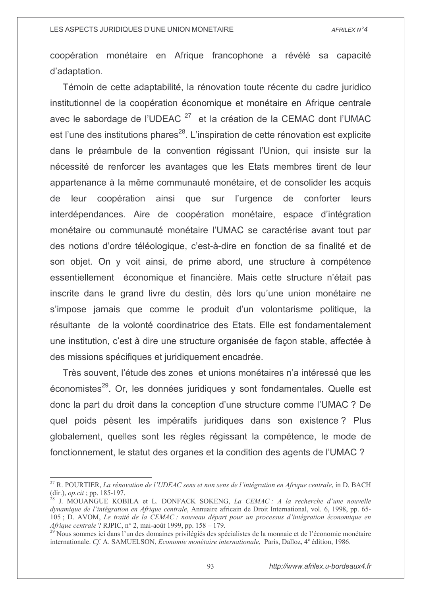coopération monétaire en Afrique francophone a révélé sa capacité d'adaptation.

Témoin de cette adaptabilité, la rénovation toute récente du cadre juridico institutionnel de la coopération économique et monétaire en Afrique centrale avec le sabordage de l'UDEAC<sup>27</sup> et la création de la CEMAC dont l'UMAC est l'une des institutions phares<sup>28</sup>. L'inspiration de cette rénovation est explicite dans le préambule de la convention régissant l'Union, qui insiste sur la nécessité de renforcer les avantages que les Etats membres tirent de leur appartenance à la même communauté monétaire, et de consolider les acquis leur coopération ainsi que sur l'urgence de conforter leurs de interdépendances. Aire de coopération monétaire, espace d'intégration monétaire ou communauté monétaire l'UMAC se caractérise avant tout par des notions d'ordre téléologique, c'est-à-dire en fonction de sa finalité et de son objet. On y voit ainsi, de prime abord, une structure à compétence essentiellement économique et financière. Mais cette structure n'était pas inscrite dans le grand livre du destin, dès lors qu'une union monétaire ne s'impose jamais que comme le produit d'un volontarisme politique, la résultante de la volonté coordinatrice des Etats. Elle est fondamentalement une institution, c'est à dire une structure organisée de facon stable, affectée à des missions spécifiques et juridiquement encadrée.

Très souvent, l'étude des zones et unions monétaires n'a intéressé que les économistes<sup>29</sup>. Or, les données juridiques y sont fondamentales. Quelle est donc la part du droit dans la conception d'une structure comme l'UMAC ? De quel poids pèsent les impératifs juridiques dans son existence? Plus globalement, quelles sont les règles régissant la compétence, le mode de fonctionnement, le statut des organes et la condition des agents de l'UMAC ?

<sup>&</sup>lt;sup>27</sup> R. POURTIER, *La rénovation de l'UDEAC sens et non sens de l'intégration en Afrique centrale*, in D. BACH (dir.), *op.cit* ; pp. 185-197.

<sup>&</sup>lt;sup>28</sup> J. MOUANGUE KOBILA et L. DONFACK SOKENG, *La CEMAC*: *A la recherche d'une nouvelle* dynamique de l'intégration en Afrique centrale, Annuaire africain de Droit International, vol. 6, 1998, pp. 65-105 ; D. AVOM, Le traité de la CEMAC : nouveau départ pour un processus d'intégration économique en *Afrique centrale* ? RJPIC, n° 2, mai-août 1999, pp. 158 – 179.

Nous sommes ici dans l'un des domaines privilégiés des spécialistes de la monnaie et de l'économie monétaire internationale. Cf. A. SAMUELSON, *Economie monétaire internationale*, Paris, Dalloz, 4<sup>e</sup> édition, 1986.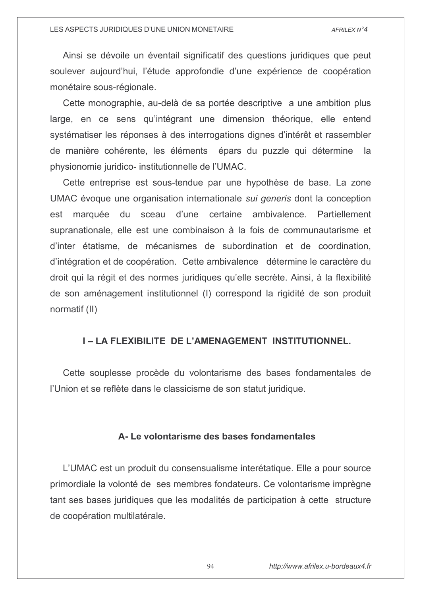Ainsi se dévoile un éventail significatif des questions juridiques que peut soulever aujourd'hui, l'étude approfondie d'une expérience de coopération monétaire sous-régionale.

Cette monographie, au-delà de sa portée descriptive a une ambition plus large, en ce sens qu'intégrant une dimension théorique, elle entend systématiser les réponses à des interrogations dignes d'intérêt et rassembler de manière cohérente, les éléments épars du puzzle qui détermine la physionomie juridico- institutionnelle de l'UMAC.

Cette entreprise est sous-tendue par une hypothèse de base. La zone UMAC évoque une organisation internationale *sui generis* dont la conception marquée du sceau d'une certaine ambivalence. Partiellement est supranationale, elle est une combinaison à la fois de communautarisme et d'inter étatisme, de mécanismes de subordination et de coordination. d'intégration et de coopération. Cette ambivalence détermine le caractère du droit qui la régit et des normes juridiques qu'elle secrète. Ainsi, à la flexibilité de son aménagement institutionnel (I) correspond la rigidité de son produit normatif (II)

# I-LA FLEXIBILITE DE L'AMENAGEMENT INSTITUTIONNEL.

Cette souplesse procède du volontarisme des bases fondamentales de l'Union et se reflète dans le classicisme de son statut juridique.

# A-Le volontarisme des bases fondamentales

L'UMAC est un produit du consensualisme interétatique. Elle a pour source primordiale la volonté de ses membres fondateurs. Ce volontarisme imprègne tant ses bases juridiques que les modalités de participation à cette structure de coopération multilatérale.

94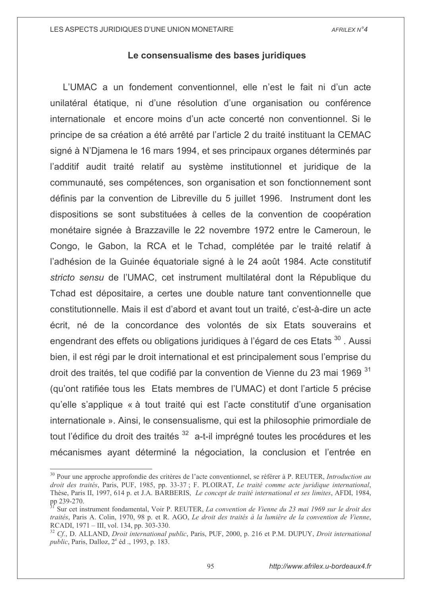# Le consensualisme des bases juridiques

L'UMAC a un fondement conventionnel, elle n'est le fait ni d'un acte unilatéral étatique, ni d'une résolution d'une organisation ou conférence internationale et encore moins d'un acte concerté non conventionnel. Si le principe de sa création a été arrêté par l'article 2 du traité instituant la CEMAC signé à N'Diamena le 16 mars 1994, et ses principaux organes déterminés par l'additif audit traité relatif au système institutionnel et juridique de la communauté, ses compétences, son organisation et son fonctionnement sont définis par la convention de Libreville du 5 juillet 1996. Instrument dont les dispositions se sont substituées à celles de la convention de coopération monétaire signée à Brazzaville le 22 novembre 1972 entre le Cameroun, le Congo, le Gabon, la RCA et le Tchad, complétée par le traité relatif à l'adhésion de la Guinée équatoriale signé à le 24 août 1984. Acte constitutif stricto sensu de l'UMAC, cet instrument multilatéral dont la République du Tchad est dépositaire, a certes une double nature tant conventionnelle que constitutionnelle. Mais il est d'abord et avant tout un traité, c'est-à-dire un acte écrit, né de la concordance des volontés de six Etats souverains et engendrant des effets ou obligations juridiques à l'égard de ces Etats<sup>30</sup>. Aussi bien, il est régi par le droit international et est principalement sous l'emprise du droit des traités, tel que codifié par la convention de Vienne du 23 mai 1969 31 (qu'ont ratifiée tous les Etats membres de l'UMAC) et dont l'article 5 précise qu'elle s'applique « à tout traité qui est l'acte constitutif d'une organisation internationale ». Ainsi, le consensualisme, qui est la philosophie primordiale de tout l'édifice du droit des traités <sup>32</sup> a-t-il imprégné toutes les procédures et les mécanismes ayant déterminé la négociation, la conclusion et l'entrée en

<sup>&</sup>lt;sup>30</sup> Pour une approche approfondie des critères de l'acte conventionnel, se référer à P. REUTER, *Introduction au* droit des traités, Paris, PUF, 1985, pp. 33-37; F. PLOIRAT, Le traité comme acte juridique international, Thèse, Paris II, 1997, 614 p. et J.A. BARBERIS, *Le concept de traité international et ses limites*, AFDI, 1984, pp 239-270.

Sur cet instrument fondamental, Voir P. REUTER, La convention de Vienne du 23 mai 1969 sur le droit des traités, Paris A. Colin, 1970, 98 p. et R. AGO, Le droit des traités à la lumière de la convention de Vienne, RCADI, 1971 - III, vol. 134, pp. 303-330.

 $^{32}$  Cf., D. ALLAND, Droit international public, Paris, PUF, 2000, p. 216 et P.M. DUPUY, Droit international *public*, Paris, Dalloz, 2<sup>e</sup> éd., 1993, p. 183.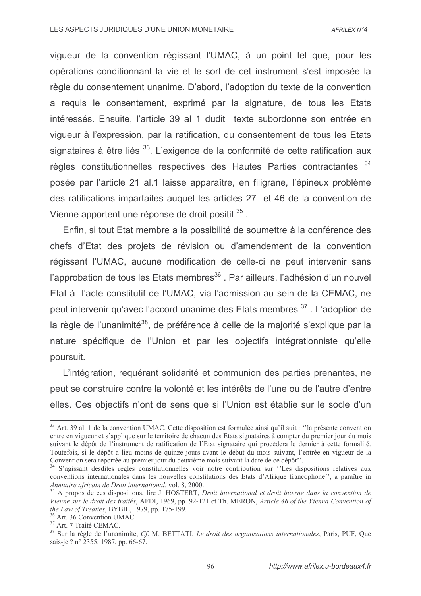vigueur de la convention régissant l'UMAC, à un point tel que, pour les opérations conditionnant la vie et le sort de cet instrument s'est imposée la règle du consentement unanime. D'abord, l'adoption du texte de la convention a requis le consentement, exprimé par la signature, de tous les Etats intéressés. Ensuite, l'article 39 al 1 dudit texte subordonne son entrée en vigueur à l'expression, par la ratification, du consentement de tous les Etats signataires à être liés <sup>33</sup>. L'exigence de la conformité de cette ratification aux règles constitutionnelles respectives des Hautes Parties contractantes 34 posée par l'article 21 al.1 laisse apparaître, en filigrane, l'épineux problème des ratifications imparfaites auguel les articles 27 et 46 de la convention de Vienne apportent une réponse de droit positif 35.

Enfin, si tout Etat membre a la possibilité de soumettre à la conférence des chefs d'Etat des projets de révision ou d'amendement de la convention régissant l'UMAC, aucune modification de celle-ci ne peut intervenir sans l'approbation de tous les Etats membres<sup>36</sup>. Par ailleurs, l'adhésion d'un nouvel Etat à l'acte constitutif de l'UMAC, via l'admission au sein de la CEMAC, ne peut intervenir qu'avec l'accord unanime des Etats membres <sup>37</sup>. L'adoption de la règle de l'unanimité<sup>38</sup>, de préférence à celle de la majorité s'explique par la nature spécifique de l'Union et par les objectifs intégrationniste qu'elle poursuit.

L'intégration, requérant solidarité et communion des parties prenantes, ne peut se construire contre la volonté et les intérêts de l'une ou de l'autre d'entre elles. Ces objectifs n'ont de sens que si l'Union est établie sur le socle d'un

<sup>&</sup>lt;sup>33</sup> Art. 39 al. 1 de la convention UMAC. Cette disposition est formulée ainsi qu'il suit : "la présente convention entre en vigueur et s'applique sur le territoire de chacun des Etats signataires à compter du premier jour du mois suivant le dépôt de l'instrument de ratification de l'Etat signataire qui procèdera le dernier à cette formalité. Toutefois, si le dépôt a lieu moins de quinze jours avant le début du mois suivant, l'entrée en vigueur de la Convention sera reportée au premier jour du deuxième mois suivant la date de ce dépôt".

<sup>&</sup>lt;sup>34</sup> S'agissant desdites règles constitutionnelles voir notre contribution sur "Les dispositions relatives aux conventions internationales dans les nouvelles constitutions des Etats d'Afrique francophone", à paraître in Annuaire africain de Droit international, vol. 8, 2000.

<sup>&</sup>lt;sup>35</sup> A propos de ces dispositions, lire J. HOSTERT, Droit international et droit interne dans la convention de Vienne sur le droit des traités, AFDI, 1969, pp. 92-121 et Th. MERON, Article 46 of the Vienna Convention of the Law of Treaties, BYBIL, 1979, pp. 175-199.

<sup>&</sup>lt;sup>36</sup> Art. 36 Convention UMAC.

<sup>&</sup>lt;sup>37</sup> Art. 7 Traité CEMAC.

<sup>&</sup>lt;sup>38</sup> Sur la règle de l'unanimité, Cf. M. BETTATI, Le droit des organisations internationales, Paris, PUF, Que sais-je? n° 2355, 1987, pp. 66-67.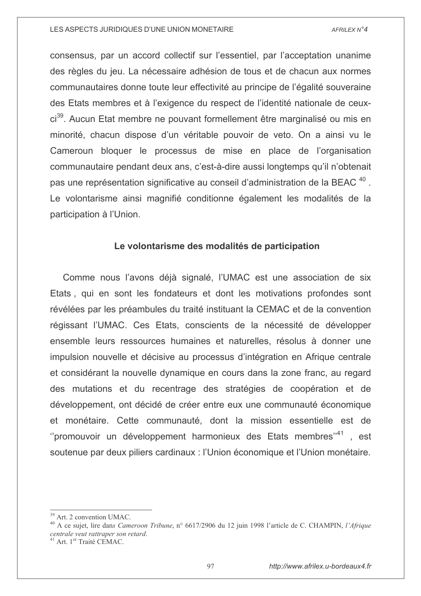consensus, par un accord collectif sur l'essentiel, par l'acceptation unanime des règles du jeu. La nécessaire adhésion de tous et de chacun aux normes communautaires donne toute leur effectivité au principe de l'égalité souveraine des Etats membres et à l'exigence du respect de l'identité nationale de ceuxci<sup>39</sup>. Aucun Etat membre ne pouvant formellement être marginalisé ou mis en minorité, chacun dispose d'un véritable pouvoir de veto. On a ainsi vu le Cameroun bloquer le processus de mise en place de l'organisation communautaire pendant deux ans, c'est-à-dire aussi longtemps qu'il n'obtenait pas une représentation significative au conseil d'administration de la BEAC<sup>40</sup>. Le volontarisme ainsi magnifié conditionne également les modalités de la participation à l'Union.

# Le volontarisme des modalités de participation

Comme nous l'avons déjà signalé, l'UMAC est une association de six Etats, qui en sont les fondateurs et dont les motivations profondes sont révélées par les préambules du traité instituant la CEMAC et de la convention régissant l'UMAC. Ces Etats, conscients de la nécessité de développer ensemble leurs ressources humaines et naturelles, résolus à donner une impulsion nouvelle et décisive au processus d'intégration en Afrique centrale et considérant la nouvelle dynamique en cours dans la zone franc, au regard des mutations et du recentrage des stratégies de coopération et de développement, ont décidé de créer entre eux une communauté économique et monétaire. Cette communauté, dont la mission essentielle est de "promouvoir un développement harmonieux des Etats membres"<sup>41</sup>, est soutenue par deux piliers cardinaux : l'Union économique et l'Union monétaire.

<sup>&</sup>lt;sup>39</sup> Art. 2 convention UMAC.

<sup>&</sup>lt;sup>40</sup> A ce sujet, lire dans Cameroon Tribune, n° 6617/2906 du 12 juin 1998 l'article de C. CHAMPIN, l'Afrique centrale veut rattraper son retard.

<sup>&</sup>lt;sup>41</sup> Art. 1<sup>er</sup> Traité CEMAC.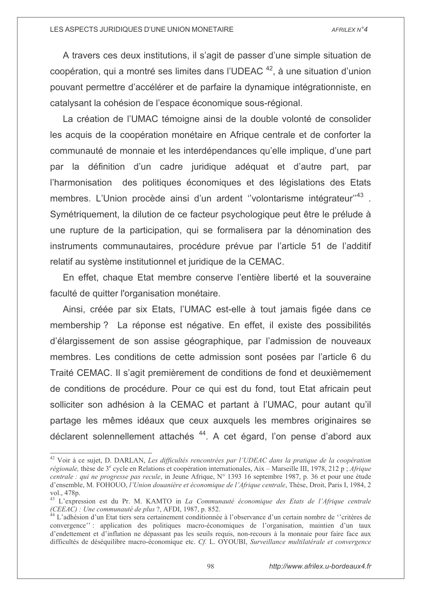A travers ces deux institutions, il s'agit de passer d'une simple situation de coopération, qui a montré ses limites dans l'UDEAC<sup>42</sup>, à une situation d'union pouvant permettre d'accélérer et de parfaire la dynamique intégrationniste, en catalysant la cohésion de l'espace économique sous-régional.

La création de l'UMAC témoigne ainsi de la double volonté de consolider les acquis de la coopération monétaire en Afrique centrale et de conforter la communauté de monnaie et les interdépendances qu'elle implique, d'une part par la définition d'un cadre juridique adéquat et d'autre part, par l'harmonisation des politiques économiques et des législations des Etats membres. L'Union procède ainsi d'un ardent "volontarisme intégrateur"<sup>43</sup>. Symétriquement, la dilution de ce facteur psychologique peut être le prélude à une rupture de la participation, qui se formalisera par la dénomination des instruments communautaires, procédure prévue par l'article 51 de l'additif relatif au système institutionnel et juridique de la CEMAC.

En effet, chaque Etat membre conserve l'entière liberté et la souveraine faculté de quitter l'organisation monétaire.

Ainsi, créée par six Etats, l'UMAC est-elle à tout jamais figée dans ce membership? La réponse est négative. En effet, il existe des possibilités d'élargissement de son assise géographique, par l'admission de nouveaux membres. Les conditions de cette admission sont posées par l'article 6 du Traité CEMAC. Il s'agit premièrement de conditions de fond et deuxièmement de conditions de procédure. Pour ce qui est du fond, tout Etat africain peut solliciter son adhésion à la CEMAC et partant à l'UMAC, pour autant qu'il partage les mêmes idéaux que ceux auxquels les membres originaires se déclarent solennellement attachés <sup>44</sup>. A cet égard, l'on pense d'abord aux

<sup>&</sup>lt;sup>42</sup> Voir à ce sujet, D. DARLAN, Les difficultés rencontrées par l'UDEAC dans la pratique de la coopération régionale, thèse de 3<sup>e</sup> cycle en Relations et coopération internationales, Aix – Marseille III, 1978, 212 p; Afrique centrale : qui ne progresse pas recule, in Jeune Afrique,  $N^{\circ}$  1393 16 septembre 1987, p. 36 et pour une étude d'ensemble, M. FOHOUO, l'Union douanière et économique de l'Afrique centrale, Thèse, Droit, Paris I, 1984, 2 vol., 478p.

<sup>&</sup>lt;sup>43</sup> L'expression est du Pr. M. KAMTO in La Communauté économique des Etats de l'Afrique centrale (CEEAC) : Une communauté de plus ?, AFDI, 1987, p. 852.

 $\frac{1}{2}$  L'adhésion d'un Etat tiers sera certainement conditionnée à l'observance d'un certain nombre de "critères de convergence": application des politiques macro-économiques de l'organisation, maintien d'un taux d'endettement et d'inflation ne dépassant pas les seuils requis, non-recours à la monnaie pour faire face aux difficultés de déséquilibre macro-économique etc. Cf. L. OYOUBI, Surveillance multilatérale et convergence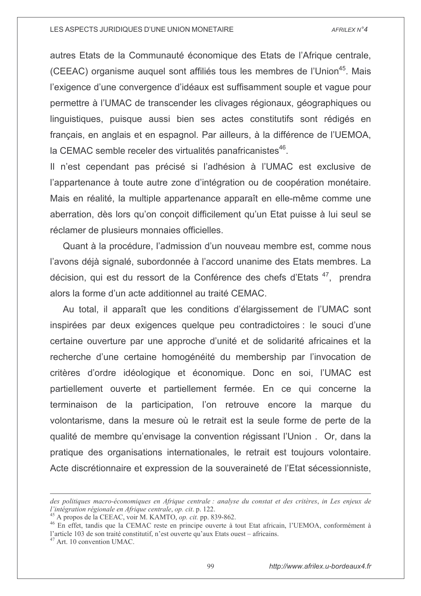autres Etats de la Communauté économique des Etats de l'Afrique centrale, (CEEAC) organisme auquel sont affiliés tous les membres de l'Union<sup>45</sup>. Mais l'exigence d'une convergence d'idéaux est suffisamment souple et vague pour permettre à l'UMAC de transcender les clivages régionaux, géographiques ou linguistiques, puisque aussi bien ses actes constitutifs sont rédigés en français, en anglais et en espagnol. Par ailleurs, à la différence de l'UEMOA, la CEMAC semble receler des virtualités panafricanistes<sup>46</sup>.

Il n'est cependant pas précisé si l'adhésion à l'UMAC est exclusive de l'appartenance à toute autre zone d'intégration ou de coopération monétaire. Mais en réalité, la multiple appartenance apparaît en elle-même comme une aberration, dès lors qu'on conçoit difficilement qu'un Etat puisse à lui seul se réclamer de plusieurs monnaies officielles.

Quant à la procédure, l'admission d'un nouveau membre est, comme nous l'avons déjà signalé, subordonnée à l'accord unanime des Etats membres. La décision, qui est du ressort de la Conférence des chefs d'Etats<sup>47</sup>, prendra alors la forme d'un acte additionnel au traité CEMAC.

Au total, il apparaît que les conditions d'élargissement de l'UMAC sont inspirées par deux exigences quelque peu contradictoires : le souci d'une certaine ouverture par une approche d'unité et de solidarité africaines et la recherche d'une certaine homogénéité du membership par l'invocation de critères d'ordre idéologique et économique. Donc en soi, l'UMAC est partiellement ouverte et partiellement fermée. En ce qui concerne la terminaison de la participation, l'on retrouve encore la marque du volontarisme, dans la mesure où le retrait est la seule forme de perte de la qualité de membre qu'envisage la convention régissant l'Union. Or, dans la pratique des organisations internationales, le retrait est toujours volontaire. Acte discrétionnaire et expression de la souveraineté de l'Etat sécessionniste,

<sup>47</sup> Art. 10 convention UMAC.

des politiques macro-économiques en Afrique centrale : analyse du constat et des critères, in Les enjeux de l'intégration régionale en Afrique centrale, op. cit. p. 122.

 $45$  A propos de la CEEAC, voir M. KAMTO, *op. cit.* pp. 839-862.

<sup>&</sup>lt;sup>46</sup> En effet, tandis que la CEMAC reste en principe ouverte à tout Etat africain, l'UEMOA, conformément à l'article 103 de son traité constitutif, n'est ouverte qu'aux Etats ouest – africains.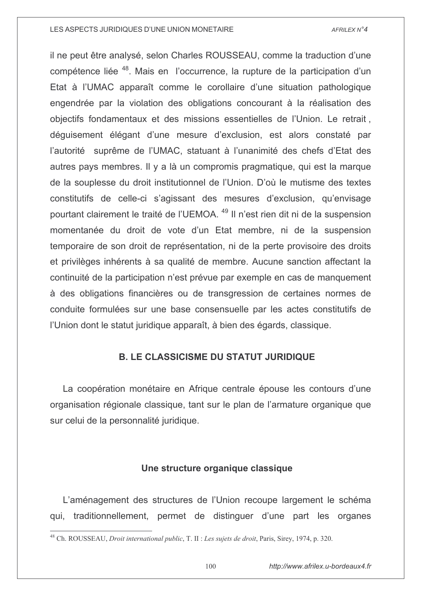il ne peut être analysé, selon Charles ROUSSEAU, comme la traduction d'une compétence liée <sup>48</sup>. Mais en l'occurrence, la rupture de la participation d'un Etat à l'UMAC apparaît comme le corollaire d'une situation pathologique engendrée par la violation des obligations concourant à la réalisation des objectifs fondamentaux et des missions essentielles de l'Union. Le retrait, déguisement élégant d'une mesure d'exclusion, est alors constaté par l'autorité suprême de l'UMAC, statuant à l'unanimité des chefs d'Etat des autres pays membres. Il y a là un compromis pragmatique, qui est la marque de la souplesse du droit institutionnel de l'Union. D'où le mutisme des textes constitutifs de celle-ci s'agissant des mesures d'exclusion, qu'envisage pourtant clairement le traité de l'UEMOA.<sup>49</sup> Il n'est rien dit ni de la suspension momentanée du droit de vote d'un Etat membre, ni de la suspension temporaire de son droit de représentation, ni de la perte provisoire des droits et privilèges inhérents à sa qualité de membre. Aucune sanction affectant la continuité de la participation n'est prévue par exemple en cas de manquement à des obligations financières ou de transgression de certaines normes de conduite formulées sur une base consensuelle par les actes constitutifs de l'Union dont le statut juridique apparaît, à bien des égards, classique.

# **B. LE CLASSICISME DU STATUT JURIDIQUE**

La coopération monétaire en Afrique centrale épouse les contours d'une organisation régionale classique, tant sur le plan de l'armature organique que sur celui de la personnalité juridique.

# Une structure organique classique

L'aménagement des structures de l'Union recoupe largement le schéma qui, traditionnellement, permet de distinguer d'une part les organes

<sup>&</sup>lt;sup>48</sup> Ch. ROUSSEAU. *Droit international public*, T. II : Les sujets de droit, Paris, Sirey, 1974, p. 320.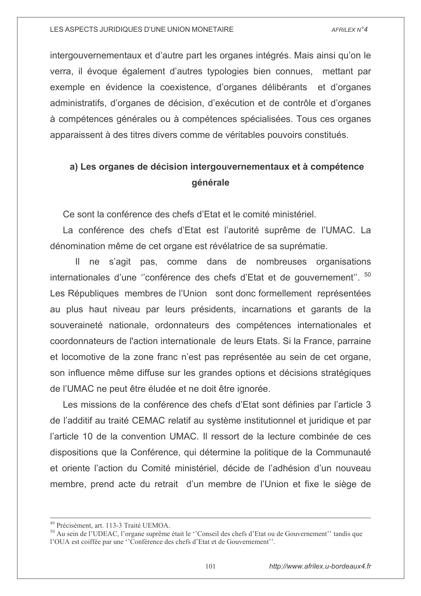intergouvernementaux et d'autre part les organes intégrés. Mais ainsi qu'on le verra, il évoque également d'autres typologies bien connues, mettant par exemple en évidence la coexistence, d'organes délibérants et d'organes administratifs, d'organes de décision, d'exécution et de contrôle et d'organes à compétences générales ou à compétences spécialisées. Tous ces organes apparaissent à des titres divers comme de véritables pouvoirs constitués.

# a) Les organes de décision intergouvernementaux et à compétence générale

Ce sont la conférence des chefs d'Etat et le comité ministériel.

La conférence des chefs d'Etat est l'autorité suprême de l'UMAC. La dénomination même de cet organe est révélatrice de sa suprématie.

Il ne s'agit pas, comme dans de nombreuses organisations internationales d'une "conférence des chefs d'Etat et de gouvernement". 50 Les Républiques membres de l'Union sont donc formellement représentées au plus haut niveau par leurs présidents, incarnations et garants de la souveraineté nationale, ordonnateurs des compétences internationales et coordonnateurs de l'action internationale de leurs Etats. Si la France, parraine et locomotive de la zone franc n'est pas représentée au sein de cet organe, son influence même diffuse sur les grandes options et décisions stratégiques de l'UMAC ne peut être éludée et ne doit être ignorée.

Les missions de la conférence des chefs d'Etat sont définies par l'article 3 de l'additif au traité CEMAC relatif au système institutionnel et juridique et par l'article 10 de la convention UMAC. Il ressort de la lecture combinée de ces dispositions que la Conférence, qui détermine la politique de la Communauté et oriente l'action du Comité ministériel, décide de l'adhésion d'un nouveau membre, prend acte du retrait d'un membre de l'Union et fixe le siège de

<sup>&</sup>lt;sup>49</sup> Précisément, art. 113-3 Traité UEMOA.

<sup>&</sup>lt;sup>50</sup> Au sein de l'UDEAC, l'organe suprême était le "Conseil des chefs d'Etat ou de Gouvernement" tandis que l'OUA est coiffée par une "Conférence des chefs d'Etat et de Gouvernement".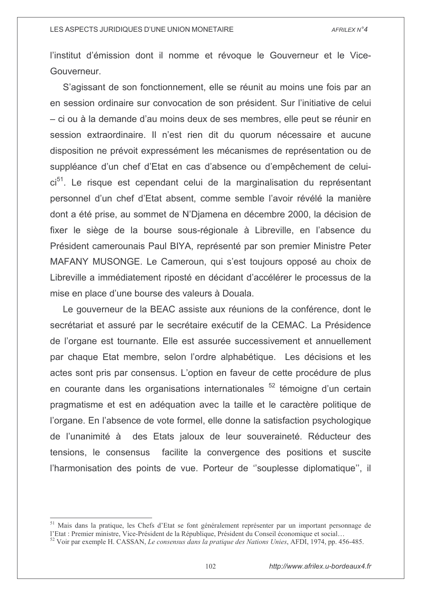l'institut d'émission dont il nomme et révoque le Gouverneur et le Vice-Gouverneur.

S'agissant de son fonctionnement, elle se réunit au moins une fois par an en session ordinaire sur convocation de son président. Sur l'initiative de celui - ci ou à la demande d'au moins deux de ses membres, elle peut se réunir en session extraordinaire. Il n'est rien dit du quorum nécessaire et aucune disposition ne prévoit expressément les mécanismes de représentation ou de suppléance d'un chef d'Etat en cas d'absence ou d'empêchement de celuici<sup>51</sup>. Le risque est cependant celui de la marginalisation du représentant personnel d'un chef d'Etat absent, comme semble l'avoir révélé la manière dont a été prise, au sommet de N'Djamena en décembre 2000, la décision de fixer le siège de la bourse sous-régionale à Libreville, en l'absence du Président camerounais Paul BIYA, représenté par son premier Ministre Peter MAFANY MUSONGE. Le Cameroun, qui s'est toujours opposé au choix de Libreville a immédiatement riposté en décidant d'accélérer le processus de la mise en place d'une bourse des valeurs à Douala.

Le gouverneur de la BEAC assiste aux réunions de la conférence, dont le secrétariat et assuré par le secrétaire exécutif de la CEMAC. La Présidence de l'organe est tournante. Elle est assurée successivement et annuellement par chaque Etat membre, selon l'ordre alphabétique. Les décisions et les actes sont pris par consensus. L'option en faveur de cette procédure de plus en courante dans les organisations internationales <sup>52</sup> témoigne d'un certain pragmatisme et est en adéquation avec la taille et le caractère politique de l'organe. En l'absence de vote formel, elle donne la satisfaction psychologique de l'unanimité à des Etats jaloux de leur souveraineté. Réducteur des tensions, le consensus facilite la convergence des positions et suscite l'harmonisation des points de vue. Porteur de "souplesse diplomatique", il

<sup>&</sup>lt;sup>51</sup> Mais dans la pratique, les Chefs d'Etat se font généralement représenter par un important personnage de l'Etat : Premier ministre, Vice-Président de la République, Président du Conseil économique et social...

 $52$  Voir par exemple H. CASSAN, Le consensus dans la pratique des Nations Unies, AFDI, 1974, pp. 456-485.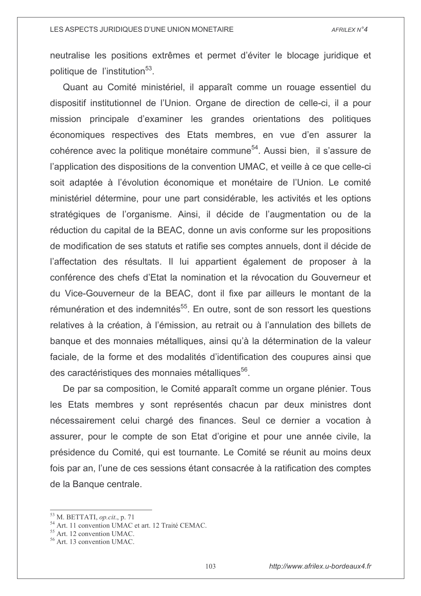neutralise les positions extrêmes et permet d'éviter le blocage juridique et politique de l'institution<sup>53</sup>.

Quant au Comité ministériel, il apparaît comme un rouage essentiel du dispositif institutionnel de l'Union. Organe de direction de celle-ci, il a pour mission principale d'examiner les grandes orientations des politiques économiques respectives des Etats membres, en vue d'en assurer la cohérence avec la politique monétaire commune<sup>54</sup>. Aussi bien, il s'assure de l'application des dispositions de la convention UMAC, et veille à ce que celle-ci soit adaptée à l'évolution économique et monétaire de l'Union. Le comité ministériel détermine, pour une part considérable, les activités et les options stratégiques de l'organisme. Ainsi, il décide de l'augmentation ou de la réduction du capital de la BEAC, donne un avis conforme sur les propositions de modification de ses statuts et ratifie ses comptes annuels, dont il décide de l'affectation des résultats. Il lui appartient également de proposer à la conférence des chefs d'Etat la nomination et la révocation du Gouverneur et du Vice-Gouverneur de la BEAC, dont il fixe par ailleurs le montant de la rémunération et des indemnités<sup>55</sup>. En outre, sont de son ressort les questions relatives à la création, à l'émission, au retrait ou à l'annulation des billets de banque et des monnaies métalliques, ainsi qu'à la détermination de la valeur faciale, de la forme et des modalités d'identification des coupures ainsi que des caractéristiques des monnaies métalliques<sup>56</sup>.

De par sa composition, le Comité apparaît comme un organe plénier. Tous les Etats membres y sont représentés chacun par deux ministres dont nécessairement celui chargé des finances. Seul ce dernier a vocation à assurer, pour le compte de son Etat d'origine et pour une année civile, la présidence du Comité, qui est tournante. Le Comité se réunit au moins deux fois par an, l'une de ces sessions étant consacrée à la ratification des comptes de la Banque centrale.

 $53$  M. BETTATI, op.cit., p. 71

<sup>&</sup>lt;sup>54</sup> Art. 11 convention UMAC et art. 12 Traité CEMAC.

<sup>&</sup>lt;sup>55</sup> Art. 12 convention UMAC.

<sup>&</sup>lt;sup>56</sup> Art. 13 convention UMAC.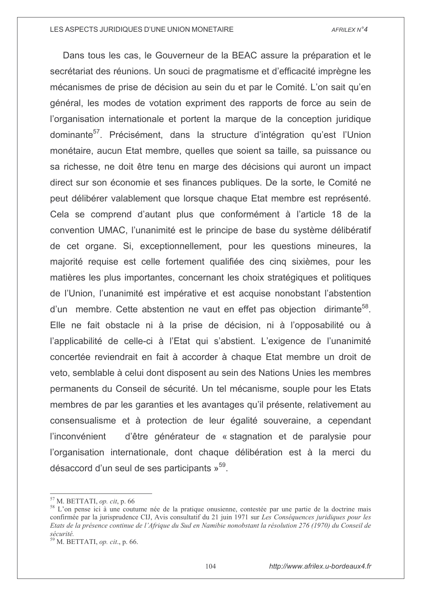Dans tous les cas, le Gouverneur de la BEAC assure la préparation et le secrétariat des réunions. Un souci de pragmatisme et d'efficacité imprègne les mécanismes de prise de décision au sein du et par le Comité. L'on sait qu'en général, les modes de votation expriment des rapports de force au sein de l'organisation internationale et portent la marque de la conception juridique dominante<sup>57</sup>. Précisément, dans la structure d'intégration qu'est l'Union monétaire, aucun Etat membre, quelles que soient sa taille, sa puissance ou sa richesse, ne doit être tenu en marge des décisions qui auront un impact direct sur son économie et ses finances publiques. De la sorte, le Comité ne peut délibérer valablement que lorsque chaque Etat membre est représenté. Cela se comprend d'autant plus que conformément à l'article 18 de la convention UMAC, l'unanimité est le principe de base du système délibératif de cet organe. Si, exceptionnellement, pour les questions mineures, la majorité requise est celle fortement qualifiée des cinq sixièmes, pour les matières les plus importantes, concernant les choix stratégiques et politiques de l'Union, l'unanimité est impérative et est acquise nonobstant l'abstention d'un membre. Cette abstention ne vaut en effet pas objection dirimante<sup>58</sup>. Elle ne fait obstacle ni à la prise de décision, ni à l'opposabilité ou à l'applicabilité de celle-ci à l'Etat qui s'abstient. L'exigence de l'unanimité concertée reviendrait en fait à accorder à chaque Etat membre un droit de veto, semblable à celui dont disposent au sein des Nations Unies les membres permanents du Conseil de sécurité. Un tel mécanisme, souple pour les Etats membres de par les garanties et les avantages qu'il présente, relativement au consensualisme et à protection de leur égalité souveraine, a cependant d'être générateur de « stagnation et de paralysie pour l'inconvénient l'organisation internationale, dont chaque délibération est à la merci du désaccord d'un seul de ses participants »<sup>59</sup>.

 $57$  M. BETTATI, op. cit, p. 66

<sup>&</sup>lt;sup>58</sup> L'on pense ici à une coutume née de la pratique onusienne, contestée par une partie de la doctrine mais confirmée par la jurisprudence CIJ, Avis consultatif du 21 juin 1971 sur Les Conséquences juridiques pour les Etats de la présence continue de l'Afrique du Sud en Namibie nonobstant la résolution 276 (1970) du Conseil de sécurité.

 $59$  M. BETTATI, op. cit., p. 66.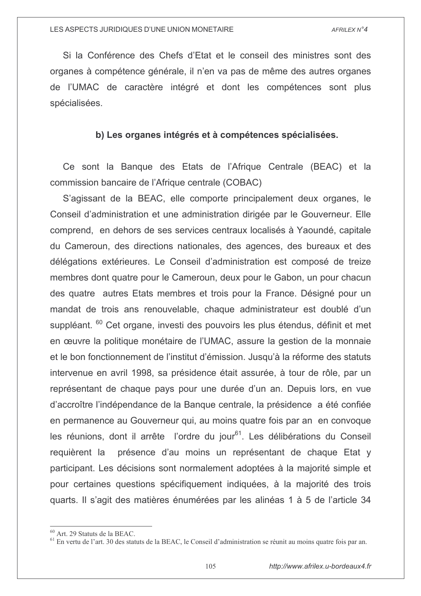Si la Conférence des Chefs d'Etat et le conseil des ministres sont des organes à compétence générale, il n'en va pas de même des autres organes de l'UMAC de caractère intégré et dont les compétences sont plus spécialisées.

# b) Les organes intégrés et à compétences spécialisées.

Ce sont la Banque des Etats de l'Afrique Centrale (BEAC) et la commission bancaire de l'Afrique centrale (COBAC)

S'agissant de la BEAC, elle comporte principalement deux organes, le Conseil d'administration et une administration dirigée par le Gouverneur. Elle comprend, en dehors de ses services centraux localisés à Yaoundé, capitale du Cameroun, des directions nationales, des agences, des bureaux et des délégations extérieures. Le Conseil d'administration est composé de treize membres dont quatre pour le Cameroun, deux pour le Gabon, un pour chacun des quatre autres Etats membres et trois pour la France. Désigné pour un mandat de trois ans renouvelable, chaque administrateur est doublé d'un suppléant. <sup>60</sup> Cet organe, investi des pouvoirs les plus étendus, définit et met en œuvre la politique monétaire de l'UMAC, assure la gestion de la monnaie et le bon fonctionnement de l'institut d'émission. Jusqu'à la réforme des statuts intervenue en avril 1998, sa présidence était assurée, à tour de rôle, par un représentant de chaque pays pour une durée d'un an. Depuis lors, en vue d'accroître l'indépendance de la Banque centrale, la présidence a été confiée en permanence au Gouverneur qui, au moins quatre fois par an en convoque les réunions, dont il arrête l'ordre du jour<sup>61</sup>. Les délibérations du Conseil présence d'au moins un représentant de chaque Etat y requièrent la participant. Les décisions sont normalement adoptées à la majorité simple et pour certaines questions spécifiquement indiquées, à la majorité des trois quarts. Il s'agit des matières énumérées par les alinéas 1 à 5 de l'article 34

<sup>&</sup>lt;sup>60</sup> Art. 29 Statuts de la BEAC.

 $<sup>61</sup>$  En vertu de l'art. 30 des statuts de la BEAC, le Conseil d'administration se réunit au moins quatre fois par an.</sup>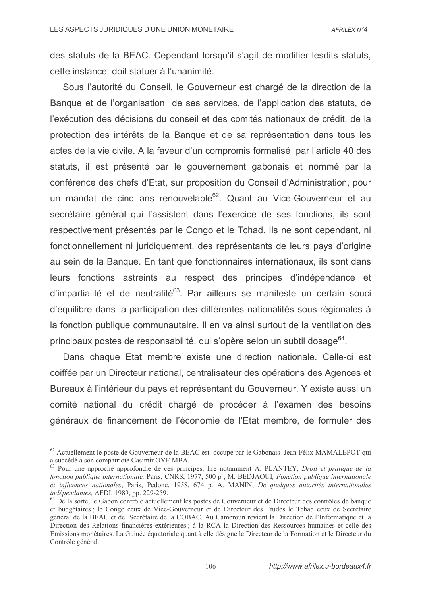des statuts de la BEAC. Cependant lorsqu'il s'agit de modifier lesdits statuts, cette instance doit statuer à l'unanimité.

Sous l'autorité du Conseil, le Gouverneur est chargé de la direction de la Banque et de l'organisation de ses services, de l'application des statuts, de l'exécution des décisions du conseil et des comités nationaux de crédit, de la protection des intérêts de la Banque et de sa représentation dans tous les actes de la vie civile. A la faveur d'un compromis formalisé par l'article 40 des statuts, il est présenté par le gouvernement gabonais et nommé par la conférence des chefs d'Etat, sur proposition du Conseil d'Administration, pour un mandat de cinq ans renouvelable<sup>62</sup>. Quant au Vice-Gouverneur et au secrétaire général qui l'assistent dans l'exercice de ses fonctions, ils sont respectivement présentés par le Congo et le Tchad. Ils ne sont cependant, ni fonctionnellement ni juridiquement, des représentants de leurs pays d'origine au sein de la Banque. En tant que fonctionnaires internationaux, ils sont dans leurs fonctions astreints au respect des principes d'indépendance et d'impartialité et de neutralité<sup>63</sup>. Par ailleurs se manifeste un certain souci d'équilibre dans la participation des différentes nationalités sous-régionales à la fonction publique communautaire. Il en va ainsi surtout de la ventilation des principaux postes de responsabilité, qui s'opère selon un subtil dosage<sup>64</sup>.

Dans chaque Etat membre existe une direction nationale. Celle-ci est coiffée par un Directeur national, centralisateur des opérations des Agences et Bureaux à l'intérieur du pays et représentant du Gouverneur. Y existe aussi un comité national du crédit chargé de procéder à l'examen des besoins généraux de financement de l'économie de l'Etat membre, de formuler des

<sup>&</sup>lt;sup>62</sup> Actuellement le poste de Gouverneur de la BEAC est occupé par le Gabonais Jean-Félix MAMALEPOT qui a succédé à son compatriote Casimir OYE MBA.

<sup>&</sup>lt;sup>63</sup> Pour une approche approfondie de ces principes, lire notamment A. PLANTEY, *Droit et pratique de la* fonction publique internationale, Paris, CNRS, 1977, 500 p; M. BEDJAOUI, Fonction publique internationale et influences nationales. Paris, Pedone, 1958, 674 p. A. MANIN, De quelques autorités internationales indépendantes, AFDI, 1989, pp. 229-259.

<sup>&</sup>lt;sup>64</sup> De la sorte, le Gabon contrôle actuellement les postes de Gouverneur et de Directeur des contrôles de banque et budgétaires ; le Congo ceux de Vice-Gouverneur et de Directeur des Etudes le Tchad ceux de Secrétaire général de la BEAC et de Secrétaire de la COBAC. Au Cameroun revient la Direction de l'Informatique et la Direction des Relations financières extérieures ; à la RCA la Direction des Ressources humaines et celle des Emissions monétaires. La Guinée équatoriale quant à elle désigne le Directeur de la Formation et le Directeur du Contrôle général.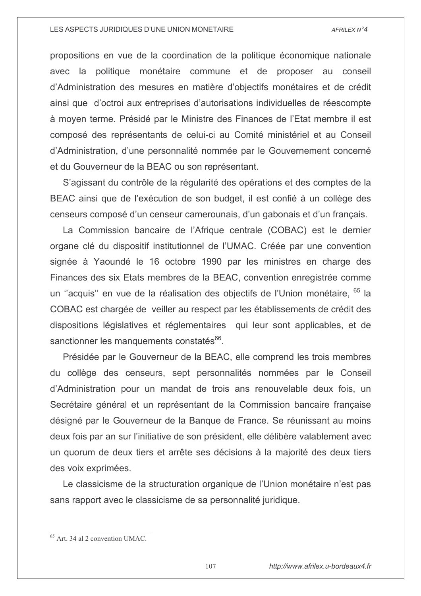propositions en vue de la coordination de la politique économique nationale avec la politique monétaire commune et de proposer au conseil d'Administration des mesures en matière d'objectifs monétaires et de crédit ainsi que d'octroi aux entreprises d'autorisations individuelles de réescompte à moyen terme. Présidé par le Ministre des Finances de l'Etat membre il est composé des représentants de celui-ci au Comité ministériel et au Conseil d'Administration, d'une personnalité nommée par le Gouvernement concerné et du Gouverneur de la BEAC ou son représentant.

S'agissant du contrôle de la régularité des opérations et des comptes de la BEAC ainsi que de l'exécution de son budget, il est confié à un collège des censeurs composé d'un censeur camerounais, d'un gabonais et d'un français.

La Commission bancaire de l'Afrique centrale (COBAC) est le dernier organe clé du dispositif institutionnel de l'UMAC. Créée par une convention signée à Yaoundé le 16 octobre 1990 par les ministres en charge des Finances des six Etats membres de la BEAC, convention enregistrée comme un "acquis" en vue de la réalisation des objectifs de l'Union monétaire, <sup>65</sup> la COBAC est chargée de veiller au respect par les établissements de crédit des dispositions législatives et réglementaires qui leur sont applicables, et de sanctionner les manquements constatés<sup>66</sup>.

Présidée par le Gouverneur de la BEAC, elle comprend les trois membres du collège des censeurs, sept personnalités nommées par le Conseil d'Administration pour un mandat de trois ans renouvelable deux fois, un Secrétaire général et un représentant de la Commission bancaire française désigné par le Gouverneur de la Banque de France. Se réunissant au moins deux fois par an sur l'initiative de son président, elle délibère valablement avec un quorum de deux tiers et arrête ses décisions à la majorité des deux tiers des voix exprimées.

Le classicisme de la structuration organique de l'Union monétaire n'est pas sans rapport avec le classicisme de sa personnalité juridique.

<sup>&</sup>lt;sup>65</sup> Art. 34 al 2 convention UMAC.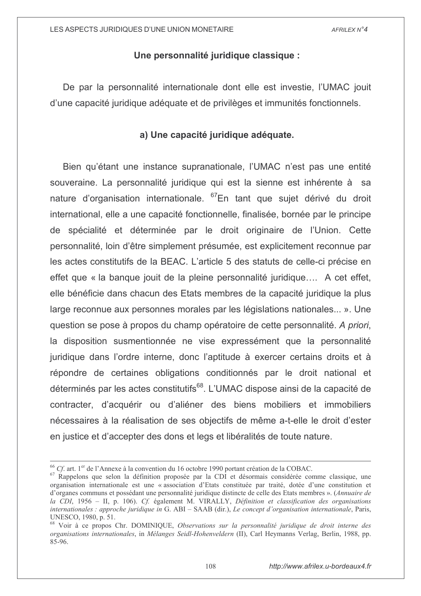# Une personnalité juridique classique :

De par la personnalité internationale dont elle est investie. l'UMAC jouit d'une capacité juridique adéquate et de privilèges et immunités fonctionnels.

# a) Une capacité juridique adéquate.

Bien qu'étant une instance supranationale, l'UMAC n'est pas une entité souveraine. La personnalité juridique qui est la sienne est inhérente à sa nature d'organisation internationale. <sup>67</sup>En tant que sujet dérivé du droit international, elle a une capacité fonctionnelle, finalisée, bornée par le principe de spécialité et déterminée par le droit originaire de l'Union. Cette personnalité, loin d'être simplement présumée, est explicitement reconnue par les actes constitutifs de la BEAC. L'article 5 des statuts de celle-ci précise en effet que « la banque jouit de la pleine personnalité juridique.... A cet effet, elle bénéficie dans chacun des Etats membres de la capacité juridique la plus large reconnue aux personnes morales par les législations nationales... ». Une question se pose à propos du champ opératoire de cette personnalité. A priori, la disposition susmentionnée ne vise expressément que la personnalité juridique dans l'ordre interne, donc l'aptitude à exercer certains droits et à répondre de certaines obligations conditionnés par le droit national et déterminés par les actes constitutifs<sup>68</sup>. L'UMAC dispose ainsi de la capacité de contracter, d'acquérir ou d'aliéner des biens mobiliers et immobiliers nécessaires à la réalisation de ses objectifs de même a-t-elle le droit d'ester en justice et d'accepter des dons et legs et libéralités de toute nature.

 $^{66}$  Cf. art. 1<sup>er</sup> de l'Annexe à la convention du 16 octobre 1990 portant création de la COBAC.

<sup>&</sup>lt;sup>67</sup> Rappelons que selon la définition proposée par la CDI et désormais considérée comme classique, une organisation internationale est une « association d'Etats constituée par traité, dotée d'une constitution et d'organes communs et possédant une personnalité juridique distincte de celle des Etats membres ». (Annuaire de la CDI, 1956 - II, p. 106). Cf. également M. VIRALLY, Définition et classification des organisations internationales : approche juridique in G. ABI – SAAB (dir.), Le concept d'organisation internationale, Paris, UNESCO, 1980, p. 51.

<sup>&</sup>lt;sup>68</sup> Voir à ce propos Chr. DOMINIQUE, Observations sur la personnalité juridique de droit interne des organisations internationales, in Mélanges Seidl-Hohenveldern (II), Carl Heymanns Verlag, Berlin, 1988, pp. 85-96.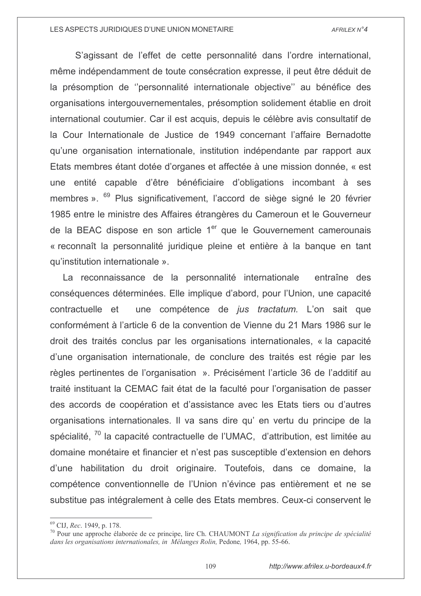S'agissant de l'effet de cette personnalité dans l'ordre international, même indépendamment de toute consécration expresse, il peut être déduit de la présomption de "personnalité internationale objective" au bénéfice des organisations intergouvernementales, présomption solidement établie en droit international coutumier. Car il est acquis, depuis le célèbre avis consultatif de la Cour Internationale de Justice de 1949 concernant l'affaire Bernadotte gu'une organisation internationale, institution indépendante par rapport aux Etats membres étant dotée d'organes et affectée à une mission donnée, « est une entité capable d'être bénéficiaire d'obligations incombant à ses membres ». <sup>69</sup> Plus significativement, l'accord de siège signé le 20 février 1985 entre le ministre des Affaires étrangères du Cameroun et le Gouverneur de la BEAC dispose en son article 1<sup>er</sup> que le Gouvernement camerounais « reconnaît la personnalité juridique pleine et entière à la banque en tant qu'institution internationale ».

La reconnaissance de la personnalité internationale entraîne des conséquences déterminées. Elle implique d'abord, pour l'Union, une capacité une compétence de *jus tractatum*. L'on sait que contractuelle et conformément à l'article 6 de la convention de Vienne du 21 Mars 1986 sur le droit des traités conclus par les organisations internationales, « la capacité d'une organisation internationale, de conclure des traités est régie par les règles pertinentes de l'organisation ». Précisément l'article 36 de l'additif au traité instituant la CEMAC fait état de la faculté pour l'organisation de passer des accords de coopération et d'assistance avec les Etats tiers ou d'autres organisations internationales. Il va sans dire qu'en vertu du principe de la spécialité, <sup>70</sup> la capacité contractuelle de l'UMAC, d'attribution, est limitée au domaine monétaire et financier et n'est pas susceptible d'extension en dehors d'une habilitation du droit originaire. Toutefois, dans ce domaine, la compétence conventionnelle de l'Union n'évince pas entièrement et ne se substitue pas intégralement à celle des Etats membres. Ceux-ci conservent le

<sup>&</sup>lt;sup>69</sup> CIJ, *Rec.* 1949, p. 178.

 $\frac{70}{10}$  Pour une approche élaborée de ce principe, lire Ch. CHAUMONT La signification du principe de spécialité dans les organisations internationales, in Mélanges Rolin, Pedone, 1964, pp. 55-66.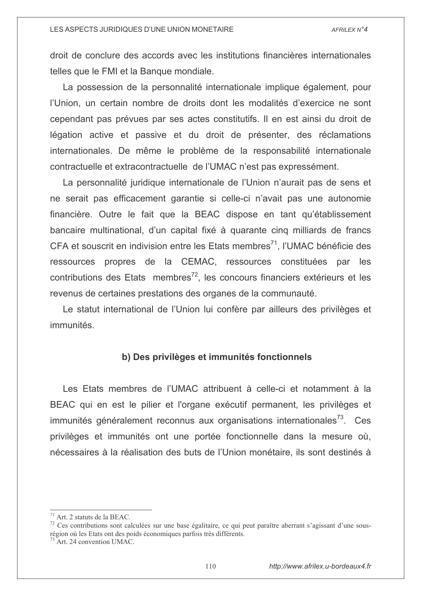droit de conclure des accords avec les institutions financières internationales telles que le FMI et la Banque mondiale.

La possession de la personnalité internationale implique également. pour l'Union, un certain nombre de droits dont les modalités d'exercice ne sont cependant pas prévues par ses actes constitutifs. Il en est ainsi du droit de légation active et passive et du droit de présenter, des réclamations internationales. De même le problème de la responsabilité internationale contractuelle et extracontractuelle de l'UMAC n'est pas expressément.

La personnalité juridique internationale de l'Union n'aurait pas de sens et ne serait pas efficacement garantie si celle-ci n'avait pas une autonomie financière. Outre le fait que la BEAC dispose en tant qu'établissement bancaire multinational, d'un capital fixé à quarante cinq milliards de francs CFA et souscrit en indivision entre les Etats membres<sup>71</sup>. l'UMAC bénéficie des ressources propres de la CEMAC, ressources constituées par les contributions des Etats membres<sup>72</sup>, les concours financiers extérieurs et les revenus de certaines prestations des organes de la communauté.

Le statut international de l'Union lui confère par ailleurs des privilèges et immunités.

# b) Des privilèges et immunités fonctionnels

Les Etats membres de l'UMAC attribuent à celle-ci et notamment à la BEAC qui en est le pilier et l'organe exécutif permanent, les privilèges et immunités généralement reconnus aux organisations internationales<sup>73</sup>. Ces privilèges et immunités ont une portée fonctionnelle dans la mesure où, nécessaires à la réalisation des buts de l'Union monétaire, ils sont destinés à

<sup>&</sup>lt;sup>71</sup> Art 2 statuts de la BEAC.

 $^{72}$  Ces contributions sont calculées sur une base égalitaire, ce qui peut paraître aberrant s'agissant d'une sousrégion où les Etats ont des poids économiques parfois très différents.

Art. 24 convention UMAC.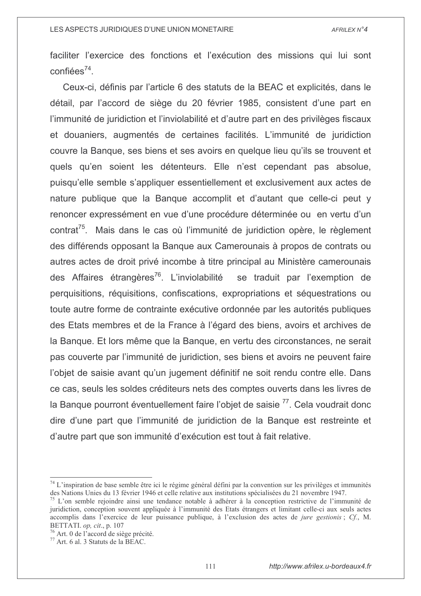faciliter l'exercice des fonctions et l'exécution des missions qui lui sont confiées<sup>74</sup>.

Ceux-ci, définis par l'article 6 des statuts de la BEAC et explicités, dans le détail, par l'accord de siège du 20 février 1985, consistent d'une part en l'immunité de juridiction et l'inviolabilité et d'autre part en des privilèges fiscaux et douaniers, augmentés de certaines facilités. L'immunité de juridiction couvre la Bangue, ses biens et ses avoirs en quelque lieu qu'ils se trouvent et quels qu'en soient les détenteurs. Elle n'est cependant pas absolue, puisqu'elle semble s'appliquer essentiellement et exclusivement aux actes de nature publique que la Banque accomplit et d'autant que celle-ci peut y renoncer expressément en vue d'une procédure déterminée ou en vertu d'un contrat<sup>75</sup>. Mais dans le cas où l'immunité de juridiction opère, le règlement des différends opposant la Banque aux Camerounais à propos de contrats ou autres actes de droit privé incombe à titre principal au Ministère camerounais des Affaires étrangères<sup>76</sup>. L'inviolabilité se traduit par l'exemption de perquisitions, réquisitions, confiscations, expropriations et séquestrations ou toute autre forme de contrainte exécutive ordonnée par les autorités publiques des Etats membres et de la France à l'égard des biens, avoirs et archives de la Banque. Et lors même que la Banque, en vertu des circonstances, ne serait pas couverte par l'immunité de juridiction, ses biens et avoirs ne peuvent faire l'objet de saisie avant qu'un jugement définitif ne soit rendu contre elle. Dans ce cas, seuls les soldes créditeurs nets des comptes ouverts dans les livres de la Banque pourront éventuellement faire l'objet de saisie<sup>77</sup>. Cela voudrait donc dire d'une part que l'immunité de juridiction de la Banque est restreinte et d'autre part que son immunité d'exécution est tout à fait relative.

 $74$  L'inspiration de base semble être ici le régime général défini par la convention sur les privilèges et immunités des Nations Unies du 13 février 1946 et celle relative aux institutions spécialisées du 21 novembre 1947.

<sup>&</sup>lt;sup>75</sup> L'on semble rejoindre ainsi une tendance notable à adhérer à la conception restrictive de l'immunité de juridiction, conception souvent appliquée à l'immunité des Etats étrangers et limitant celle-ci aux seuls actes accomplis dans l'exercice de leur puissance publique, à l'exclusion des actes de *jure gestionis*; Cf., M. BETTATI. op, cit., p. 107

<sup>&</sup>lt;sup>76</sup> Art. 0 de l'accord de siège précité.

<sup>77</sup> Art. 6 al. 3 Statuts de la BEAC.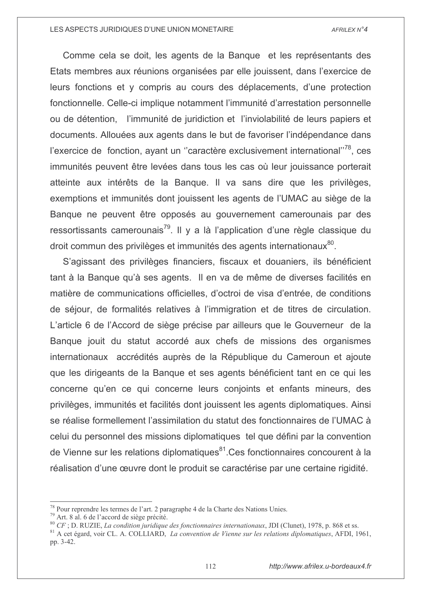Comme cela se doit, les agents de la Banque et les représentants des Etats membres aux réunions organisées par elle jouissent, dans l'exercice de leurs fonctions et y compris au cours des déplacements, d'une protection fonctionnelle. Celle-ci implique notamment l'immunité d'arrestation personnelle ou de détention, l'immunité de juridiction et l'inviolabilité de leurs papiers et documents. Allouées aux agents dans le but de favoriser l'indépendance dans l'exercice de fonction, ayant un "caractère exclusivement international"<sup>78</sup>, ces immunités peuvent être levées dans tous les cas où leur jouissance porterait atteinte aux intérêts de la Banque. Il va sans dire que les privilèges, exemptions et immunités dont jouissent les agents de l'UMAC au siège de la Banque ne peuvent être opposés au gouvernement camerounais par des ressortissants camerounais<sup>79</sup>. Il y a là l'application d'une règle classique du droit commun des privilèges et immunités des agents internationaux<sup>80</sup>.

S'agissant des privilèges financiers, fiscaux et douaniers, ils bénéficient tant à la Banque qu'à ses agents. Il en va de même de diverses facilités en matière de communications officielles, d'octroi de visa d'entrée, de conditions de séjour, de formalités relatives à l'immigration et de titres de circulation. L'article 6 de l'Accord de siège précise par ailleurs que le Gouverneur de la Banque jouit du statut accordé aux chefs de missions des organismes internationaux accrédités auprès de la République du Cameroun et ajoute que les dirigeants de la Banque et ses agents bénéficient tant en ce qui les concerne qu'en ce qui concerne leurs conjoints et enfants mineurs, des privilèges, immunités et facilités dont jouissent les agents diplomatiques. Ainsi se réalise formellement l'assimilation du statut des fonctionnaires de l'UMAC à celui du personnel des missions diplomatiques tel que défini par la convention de Vienne sur les relations diplomatiques<sup>81</sup>.Ces fonctionnaires concourent à la réalisation d'une œuvre dont le produit se caractérise par une certaine rigidité.

<sup>&</sup>lt;sup>78</sup> Pour reprendre les termes de l'art. 2 paragraphe 4 de la Charte des Nations Unies.

<sup>79</sup> Art. 8 al. 6 de l'accord de siège précité.

 $80$  CF; D. RUZIE, La condition juridique des fonctionnaires internationaux, JDI (Clunet), 1978, p. 868 et ss.

 $81$  A cet égard, voir CL. A. COLLIARD, La convention de Vienne sur les relations diplomatiques, AFDI, 1961, pp. 3-42.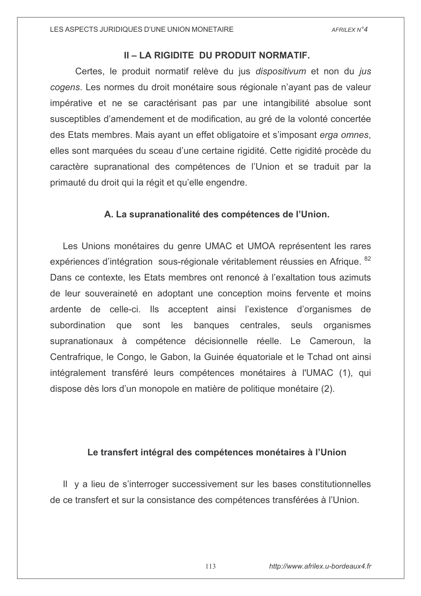# II - LA RIGIDITE DU PRODUIT NORMATIF.

Certes, le produit normatif relève du jus dispositivum et non du jus cogens. Les normes du droit monétaire sous régionale n'ayant pas de valeur impérative et ne se caractérisant pas par une intangibilité absolue sont susceptibles d'amendement et de modification, au gré de la volonté concertée des Etats membres. Mais ayant un effet obligatoire et s'imposant erga omnes, elles sont marquées du sceau d'une certaine rigidité. Cette rigidité procède du caractère supranational des compétences de l'Union et se traduit par la primauté du droit qui la régit et qu'elle engendre.

# A. La supranationalité des compétences de l'Union.

Les Unions monétaires du genre UMAC et UMOA représentent les rares expériences d'intégration sous-régionale véritablement réussies en Afrique. <sup>82</sup> Dans ce contexte, les Etats membres ont renoncé à l'exaltation tous azimuts de leur souveraineté en adoptant une conception moins fervente et moins ardente de celle-ci. Ils acceptent ainsi l'existence d'organismes de subordination que sont les banques centrales, seuls organismes supranationaux à compétence décisionnelle réelle. Le Cameroun, la Centrafrique, le Congo, le Gabon, la Guinée équatoriale et le Tchad ont ainsi intégralement transféré leurs compétences monétaires à l'UMAC (1), qui dispose dès lors d'un monopole en matière de politique monétaire (2).

# Le transfert intégral des compétences monétaires à l'Union

Il y a lieu de s'interroger successivement sur les bases constitutionnelles de ce transfert et sur la consistance des compétences transférées à l'Union.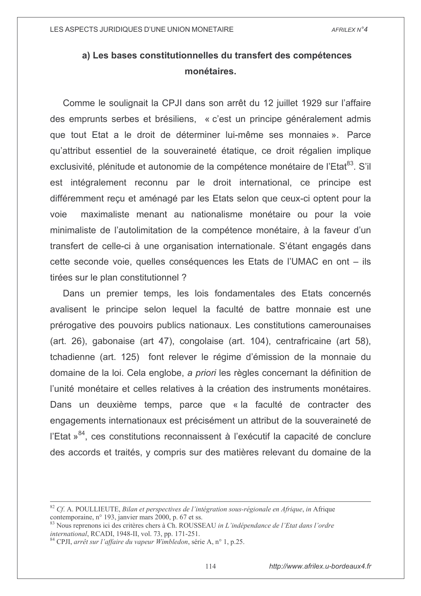# a) Les bases constitutionnelles du transfert des compétences monétaires.

Comme le soulignait la CPJI dans son arrêt du 12 juillet 1929 sur l'affaire des emprunts serbes et brésiliens, « c'est un principe généralement admis que tout Etat a le droit de déterminer lui-même ses monnaies ». Parce qu'attribut essentiel de la souveraineté étatique, ce droit régalien implique exclusivité, plénitude et autonomie de la compétence monétaire de l'Etat<sup>83</sup>. S'il est intégralement reconnu par le droit international, ce principe est différemment reçu et aménagé par les Etats selon que ceux-ci optent pour la maximaliste menant au nationalisme monétaire ou pour la voie voie minimaliste de l'autolimitation de la compétence monétaire, à la faveur d'un transfert de celle-ci à une organisation internationale. S'étant engagés dans cette seconde voie, quelles conséquences les Etats de l'UMAC en ont – ils tirées sur le plan constitutionnel ?

Dans un premier temps, les lois fondamentales des Etats concernés avalisent le principe selon lequel la faculté de battre monnaie est une prérogative des pouvoirs publics nationaux. Les constitutions camerounaises (art. 26), gabonaise (art 47), congolaise (art. 104), centrafricaine (art 58), tchadienne (art. 125) font relever le régime d'émission de la monnaie du domaine de la loi. Cela englobe, a priori les règles concernant la définition de l'unité monétaire et celles relatives à la création des instruments monétaires. Dans un deuxième temps, parce que « la faculté de contracter des engagements internationaux est précisément un attribut de la souveraineté de l'Etat »<sup>84</sup>. ces constitutions reconnaissent à l'exécutif la capacité de conclure des accords et traités, y compris sur des matières relevant du domaine de la

 $82$  Cf. A. POULLIEUTE, Bilan et perspectives de l'intégration sous-régionale en Afrique, in Afrique contemporaine, n° 193, janvier mars 2000, p. 67 et ss.

<sup>&</sup>lt;sup>83</sup> Nous reprenons ici des critères chers à Ch. ROUSSEAU in L'indépendance de l'Etat dans l'ordre international, RCADI, 1948-II, vol. 73, pp. 171-251.

<sup>&</sup>lt;sup>84</sup> CPJI, arrêt sur l'affaire du vapeur Wimbledon, série A, n° 1, p.25.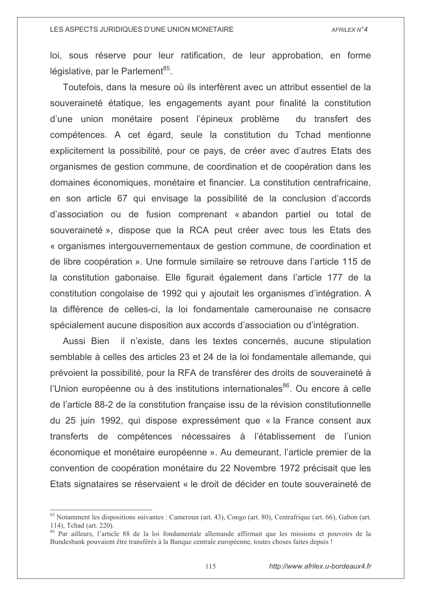loi, sous réserve pour leur ratification, de leur approbation, en forme législative, par le Parlement<sup>85</sup>.

Toutefois, dans la mesure où ils interfèrent avec un attribut essentiel de la souveraineté étatique, les engagements ayant pour finalité la constitution d'une union monétaire posent l'épineux problème du transfert des compétences. A cet égard, seule la constitution du Tchad mentionne explicitement la possibilité, pour ce pays, de créer avec d'autres Etats des organismes de gestion commune, de coordination et de coopération dans les domaines économiques, monétaire et financier. La constitution centrafricaine, en son article 67 qui envisage la possibilité de la conclusion d'accords d'association ou de fusion comprenant « abandon partiel ou total de souveraineté », dispose que la RCA peut créer avec tous les Etats des « organismes intergouvernementaux de gestion commune, de coordination et de libre coopération ». Une formule similaire se retrouve dans l'article 115 de la constitution gabonaise. Elle figurait également dans l'article 177 de la constitution congolaise de 1992 qui y ajoutait les organismes d'intégration. A la différence de celles-ci, la loi fondamentale camerounaise ne consacre spécialement aucune disposition aux accords d'association ou d'intégration.

il n'existe, dans les textes concernés, aucune stipulation Aussi Bien semblable à celles des articles 23 et 24 de la loi fondamentale allemande, qui prévoient la possibilité, pour la RFA de transférer des droits de souveraineté à l'Union européenne ou à des institutions internationales<sup>86</sup>. Ou encore à celle de l'article 88-2 de la constitution française issu de la révision constitutionnelle du 25 juin 1992, qui dispose expressément que « la France consent aux transferts de compétences nécessaires à l'établissement de l'union économique et monétaire européenne ». Au demeurant, l'article premier de la convention de coopération monétaire du 22 Novembre 1972 précisait que les Etats signataires se réservaient « le droit de décider en toute souveraineté de

<sup>85</sup> Notamment les dispositions suivantes : Cameroun (art. 43), Congo (art. 80), Centrafrique (art. 66), Gabon (art. 114), Tchad (art. 220).

<sup>86</sup> Par ailleurs, l'article 88 de la loi fondamentale allemande affirmait que les missions et pouvoirs de la Bundesbank pouvaient être transférés à la Banque centrale européenne, toutes choses faites depuis!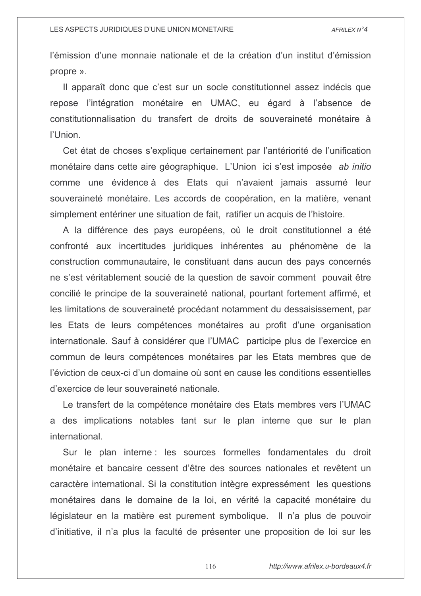l'émission d'une monnaie nationale et de la création d'un institut d'émission propre ».

Il apparaît donc que c'est sur un socle constitutionnel assez indécis que repose l'intégration monétaire en UMAC, eu égard à l'absence de constitutionnalisation du transfert de droits de souveraineté monétaire à l'Union.

Cet état de choses s'explique certainement par l'antériorité de l'unification monétaire dans cette aire géographique. L'Union ici s'est imposée ab initio comme une évidence à des Etats qui n'avaient jamais assumé leur souveraineté monétaire. Les accords de coopération, en la matière, venant simplement entériner une situation de fait, ratifier un acquis de l'histoire.

A la différence des pays européens, où le droit constitutionnel a été confronté aux incertitudes juridiques inhérentes au phénomène de la construction communautaire. le constituant dans aucun des pays concernés ne s'est véritablement soucié de la question de savoir comment pouvait être concilié le principe de la souveraineté national, pourtant fortement affirmé, et les limitations de souveraineté procédant notamment du dessaisissement, par les Etats de leurs compétences monétaires au profit d'une organisation internationale. Sauf à considérer que l'UMAC participe plus de l'exercice en commun de leurs compétences monétaires par les Etats membres que de l'éviction de ceux-ci d'un domaine où sont en cause les conditions essentielles d'exercice de leur souveraineté nationale.

Le transfert de la compétence monétaire des Etats membres vers l'UMAC a des implications notables tant sur le plan interne que sur le plan international.

Sur le plan interne : les sources formelles fondamentales du droit monétaire et bancaire cessent d'être des sources nationales et revêtent un caractère international. Si la constitution intègre expressément les questions monétaires dans le domaine de la loi, en vérité la capacité monétaire du législateur en la matière est purement symbolique. Il n'a plus de pouvoir d'initiative, il n'a plus la faculté de présenter une proposition de loi sur les

116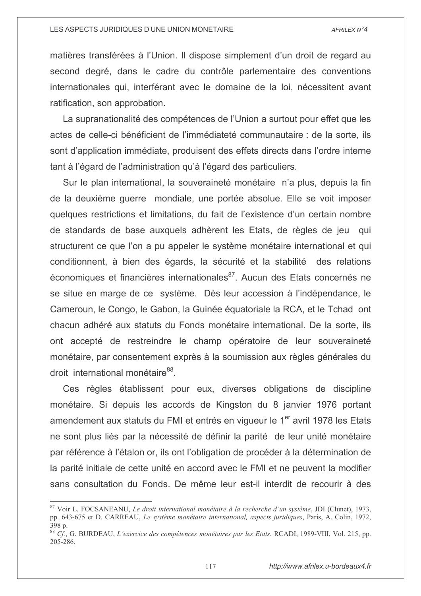matières transférées à l'Union. Il dispose simplement d'un droit de regard au second degré, dans le cadre du contrôle parlementaire des conventions internationales qui, interférant avec le domaine de la loi, nécessitent avant ratification, son approbation.

La supranationalité des compétences de l'Union a surtout pour effet que les actes de celle-ci bénéficient de l'immédiateté communautaire : de la sorte, ils sont d'application immédiate, produisent des effets directs dans l'ordre interne tant à l'égard de l'administration qu'à l'égard des particuliers.

Sur le plan international, la souveraineté monétaire n'a plus, depuis la fin de la deuxième querre mondiale, une portée absolue. Elle se voit imposer quelques restrictions et limitations, du fait de l'existence d'un certain nombre de standards de base auxquels adhèrent les Etats, de règles de jeu qui structurent ce que l'on a pu appeler le système monétaire international et qui conditionnent, à bien des égards, la sécurité et la stabilité des relations économiques et financières internationales<sup>87</sup>. Aucun des Etats concernés ne se situe en marge de ce système. Dès leur accession à l'indépendance, le Cameroun, le Congo, le Gabon, la Guinée équatoriale la RCA, et le Tchad ont chacun adhéré aux statuts du Fonds monétaire international. De la sorte, ils ont accepté de restreindre le champ opératoire de leur souveraineté monétaire, par consentement exprès à la soumission aux règles générales du droit international monétaire<sup>88</sup>.

Ces règles établissent pour eux, diverses obligations de discipline monétaire. Si depuis les accords de Kingston du 8 janvier 1976 portant amendement aux statuts du FMI et entrés en viqueur le 1<sup>er</sup> avril 1978 les Etats ne sont plus liés par la nécessité de définir la parité de leur unité monétaire par référence à l'étalon or, ils ont l'obligation de procéder à la détermination de la parité initiale de cette unité en accord avec le FMI et ne peuvent la modifier sans consultation du Fonds. De même leur est-il interdit de recourir à des

<sup>&</sup>lt;sup>87</sup> Voir L. FOCSANEANU. Le droit international monétaire à la recherche d'un système, JDI (Clunet), 1973, pp. 643-675 et D. CARREAU. Le système monétaire international, aspects iuridiaues. Paris. A. Colin. 1972.  $398n$ 

 $^{88}$  Cf., G. BURDEAU, L'exercice des compétences monétaires par les Etats, RCADI, 1989-VIII, Vol. 215, pp. 205-286.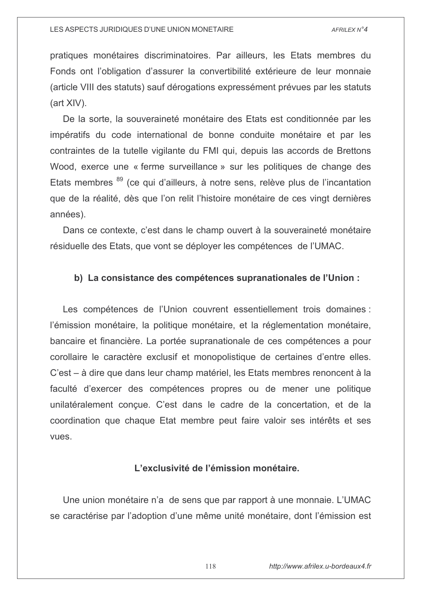pratiques monétaires discriminatoires. Par ailleurs, les Etats membres du Fonds ont l'obligation d'assurer la convertibilité extérieure de leur monnaie (article VIII des statuts) sauf dérogations expressément prévues par les statuts  $(art XIV)$ .

De la sorte, la souveraineté monétaire des Etats est conditionnée par les impératifs du code international de bonne conduite monétaire et par les contraintes de la tutelle vigilante du FMI qui, depuis las accords de Brettons Wood, exerce une « ferme surveillance » sur les politiques de change des Etats membres <sup>89</sup> (ce qui d'ailleurs, à notre sens, relève plus de l'incantation que de la réalité, dès que l'on relit l'histoire monétaire de ces vingt dernières années).

Dans ce contexte, c'est dans le champ ouvert à la souveraineté monétaire résiduelle des Etats, que vont se déployer les compétences de l'UMAC.

### b) La consistance des compétences supranationales de l'Union :

Les compétences de l'Union couvrent essentiellement trois domaines : l'émission monétaire, la politique monétaire, et la réglementation monétaire, bancaire et financière. La portée supranationale de ces compétences a pour corollaire le caractère exclusif et monopolistique de certaines d'entre elles. C'est – à dire que dans leur champ matériel, les Etats membres renoncent à la faculté d'exercer des compétences propres ou de mener une politique unilatéralement conçue. C'est dans le cadre de la concertation, et de la coordination que chaque Etat membre peut faire valoir ses intérêts et ses vues.

## L'exclusivité de l'émission monétaire.

Une union monétaire n'a de sens que par rapport à une monnaie. L'UMAC se caractérise par l'adoption d'une même unité monétaire, dont l'émission est

118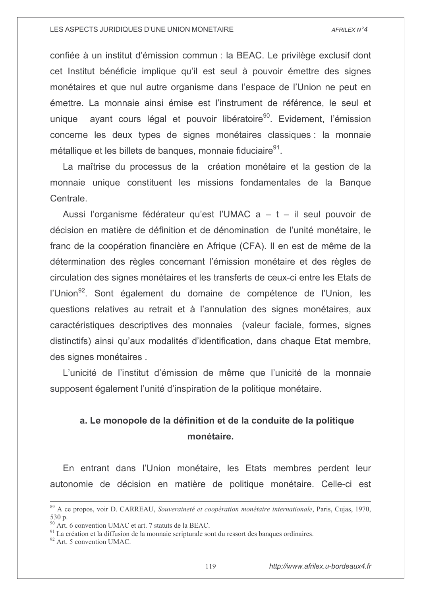confiée à un institut d'émission commun : la BEAC. Le privilège exclusif dont cet Institut bénéficie implique qu'il est seul à pouvoir émettre des signes monétaires et que nul autre organisme dans l'espace de l'Union ne peut en émettre. La monnaie ainsi émise est l'instrument de référence. le seul et avant cours légal et pouvoir libératoire<sup>90</sup>. Evidement, l'émission unique concerne les deux types de signes monétaires classiques : la monnaie métallique et les billets de banques, monnaie fiduciaire<sup>91</sup>.

La maîtrise du processus de la création monétaire et la gestion de la monnaie unique constituent les missions fondamentales de la Banque Centrale.

Aussi l'organisme fédérateur qu'est l'UMAC  $a - t - il$  seul pouvoir de décision en matière de définition et de dénomination de l'unité monétaire, le franc de la coopération financière en Afrique (CFA). Il en est de même de la détermination des règles concernant l'émission monétaire et des règles de circulation des signes monétaires et les transferts de ceux-ci entre les Etats de l'Union<sup>92</sup>. Sont également du domaine de compétence de l'Union, les questions relatives au retrait et à l'annulation des signes monétaires, aux caractéristiques descriptives des monnaies (valeur faciale, formes, signes distinctifs) ainsi qu'aux modalités d'identification, dans chaque Etat membre, des signes monétaires.

L'unicité de l'institut d'émission de même que l'unicité de la monnaie supposent également l'unité d'inspiration de la politique monétaire.

# a. Le monopole de la définition et de la conduite de la politique monétaire.

En entrant dans l'Union monétaire, les Etats membres perdent leur autonomie de décision en matière de politique monétaire. Celle-ci est

<sup>89</sup> A ce propos, voir D. CARREAU, Souveraineté et coopération monétaire internationale, Paris, Cujas, 1970,  $530n$ 

<sup>&</sup>lt;sup>90</sup> Art. 6 convention UMAC et art. 7 statuts de la BEAC.

<sup>&</sup>lt;sup>91</sup> La création et la diffusion de la monnaie scripturale sont du ressort des banques ordinaires.

<sup>&</sup>lt;sup>92</sup> Art. 5 convention UMAC.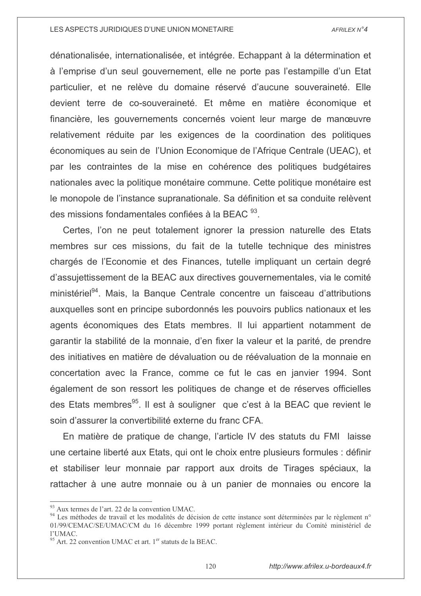dénationalisée, internationalisée, et intégrée. Echappant à la détermination et à l'emprise d'un seul gouvernement, elle ne porte pas l'estampille d'un Etat particulier, et ne relève du domaine réservé d'aucune souveraineté. Elle devient terre de co-souveraineté. Et même en matière économique et financière, les gouvernements concernés voient leur marge de manœuvre relativement réduite par les exigences de la coordination des politiques économiques au sein de l'Union Economique de l'Afrique Centrale (UEAC), et par les contraintes de la mise en cohérence des politiques budgétaires nationales avec la politique monétaire commune. Cette politique monétaire est le monopole de l'instance supranationale. Sa définition et sa conduite relèvent des missions fondamentales confiées à la BEAC <sup>93</sup>.

Certes, l'on ne peut totalement ignorer la pression naturelle des Etats membres sur ces missions, du fait de la tutelle technique des ministres chargés de l'Economie et des Finances, tutelle impliquant un certain degré d'assujettissement de la BEAC aux directives gouvernementales, via le comité ministériel<sup>94</sup>. Mais, la Banque Centrale concentre un faisceau d'attributions auxquelles sont en principe subordonnés les pouvoirs publics nationaux et les agents économiques des Etats membres. Il lui appartient notamment de garantir la stabilité de la monnaie, d'en fixer la valeur et la parité, de prendre des initiatives en matière de dévaluation ou de réévaluation de la monnaie en concertation avec la France, comme ce fut le cas en janvier 1994. Sont également de son ressort les politiques de change et de réserves officielles des Etats membres<sup>95</sup>. Il est à souligner que c'est à la BEAC que revient le soin d'assurer la convertibilité externe du franc CFA.

En matière de pratique de change, l'article IV des statuts du FMI laisse une certaine liberté aux Etats, qui ont le choix entre plusieurs formules : définir et stabiliser leur monnaie par rapport aux droits de Tirages spéciaux, la rattacher à une autre monnaie ou à un panier de monnaies ou encore la

 $93$  Aux termes de l'art. 22 de la convention UMAC.

<sup>&</sup>lt;sup>94</sup> Les méthodes de travail et les modalités de décision de cette instance sont déterminées par le règlement n° 01/99/CEMAC/SE/UMAC/CM du 16 décembre 1999 portant règlement intérieur du Comité ministériel de  $1'$ IMAC

 $95$  Art. 22 convention UMAC et art.  $1<sup>er</sup>$  statuts de la BEAC.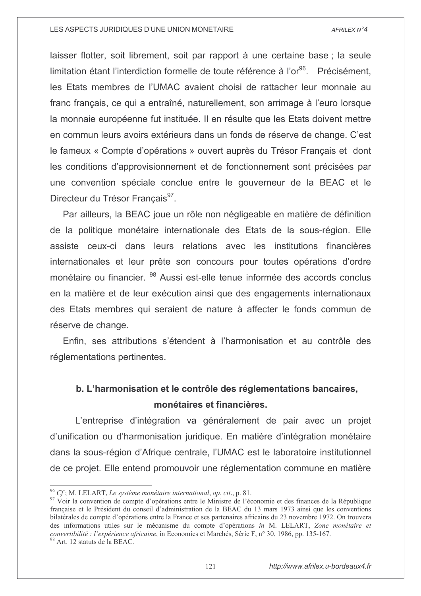laisser flotter, soit librement, soit par rapport à une certaine base; la seule limitation étant l'interdiction formelle de toute référence à l'or<sup>96</sup>. Précisément. les Etats membres de l'UMAC avaient choisi de rattacher leur monnaie au franc français, ce qui a entraîné, naturellement, son arrimage à l'euro lorsque la monnaie européenne fut instituée. Il en résulte que les Etats doivent mettre en commun leurs avoirs extérieurs dans un fonds de réserve de change. C'est le fameux « Compte d'opérations » ouvert auprès du Trésor Français et dont les conditions d'approvisionnement et de fonctionnement sont précisées par une convention spéciale conclue entre le gouverneur de la BEAC et le Directeur du Trésor Francais<sup>97</sup>.

Par ailleurs, la BEAC joue un rôle non négligeable en matière de définition de la politique monétaire internationale des Etats de la sous-région. Elle assiste ceux-ci dans leurs relations avec les institutions financières internationales et leur prête son concours pour toutes opérations d'ordre monétaire ou financier. <sup>98</sup> Aussi est-elle tenue informée des accords conclus en la matière et de leur exécution ainsi que des engagements internationaux des Etats membres qui seraient de nature à affecter le fonds commun de réserve de change.

Enfin, ses attributions s'étendent à l'harmonisation et au contrôle des réglementations pertinentes.

# b. L'harmonisation et le contrôle des réglementations bancaires, monétaires et financières.

L'entreprise d'intégration va généralement de pair avec un projet d'unification ou d'harmonisation juridique. En matière d'intégration monétaire dans la sous-région d'Afrique centrale, l'UMAC est le laboratoire institutionnel de ce projet. Elle entend promouvoir une réglementation commune en matière

 $^{96}$  Cf; M. LELART, Le système monétaire international, op. cit., p. 81.

<sup>97</sup> Voir la convention de compte d'opérations entre le Ministre de l'économie et des finances de la République française et le Président du conseil d'administration de la BEAC du 13 mars 1973 ainsi que les conventions bilatérales de compte d'opérations entre la France et ses partenaires africains du 23 novembre 1972. On trouvera des informations utiles sur le mécanisme du compte d'opérations in M. LELART, Zone monétaire et convertibilité : l'expérience africaine, in Economies et Marchés, Série F, n° 30, 1986, pp. 135-167.

<sup>&</sup>lt;sup>98</sup> Art. 12 statuts de la BEAC.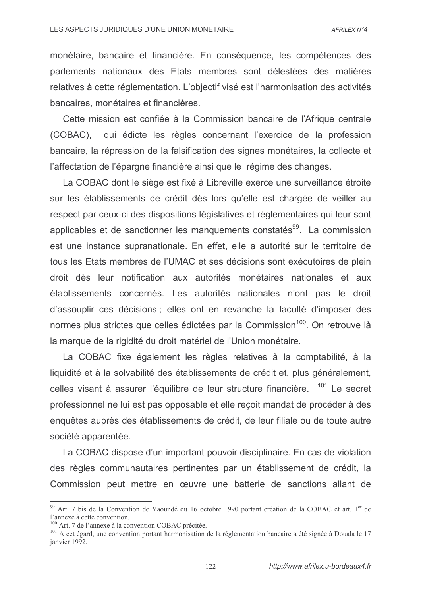monétaire, bancaire et financière. En conséquence, les compétences des parlements nationaux des Etats membres sont délestées des matières relatives à cette réglementation. L'objectif visé est l'harmonisation des activités bancaires, monétaires et financières.

Cette mission est confiée à la Commission bancaire de l'Afrique centrale  $(COBAC)$ qui édicte les règles concernant l'exercice de la profession bancaire, la répression de la falsification des signes monétaires, la collecte et l'affectation de l'épargne financière ainsi que le régime des changes.

La COBAC dont le siège est fixé à Libreville exerce une surveillance étroite sur les établissements de crédit dès lors qu'elle est chargée de veiller au respect par ceux-ci des dispositions législatives et réglementaires qui leur sont applicables et de sanctionner les manquements constatés<sup>99</sup>. La commission est une instance supranationale. En effet, elle a autorité sur le territoire de tous les Etats membres de l'UMAC et ses décisions sont exécutoires de plein droit dès leur notification aux autorités monétaires nationales et aux établissements concernés. Les autorités nationales n'ont pas le droit d'assouplir ces décisions : elles ont en revanche la faculté d'imposer des normes plus strictes que celles édictées par la Commission<sup>100</sup>. On retrouve là la marque de la rigidité du droit matériel de l'Union monétaire.

La COBAC fixe également les règles relatives à la comptabilité, à la liquidité et à la solvabilité des établissements de crédit et, plus généralement, celles visant à assurer l'équilibre de leur structure financière. <sup>101</sup> Le secret professionnel ne lui est pas opposable et elle recoit mandat de procéder à des enquêtes auprès des établissements de crédit, de leur filiale ou de toute autre société apparentée.

La COBAC dispose d'un important pouvoir disciplinaire. En cas de violation des règles communautaires pertinentes par un établissement de crédit, la Commission peut mettre en œuvre une batterie de sanctions allant de

<sup>&</sup>lt;sup>99</sup> Art. 7 bis de la Convention de Yaoundé du 16 octobre 1990 portant création de la COBAC et art. 1<sup>er</sup> de l'annexe à cette convention.

<sup>&</sup>lt;sup>100</sup> Art. 7 de l'annexe à la convention COBAC précitée.

<sup>&</sup>lt;sup>101</sup> A cet égard, une convention portant harmonisation de la réglementation bancaire a été signée à Douala le 17 ianvier 1992.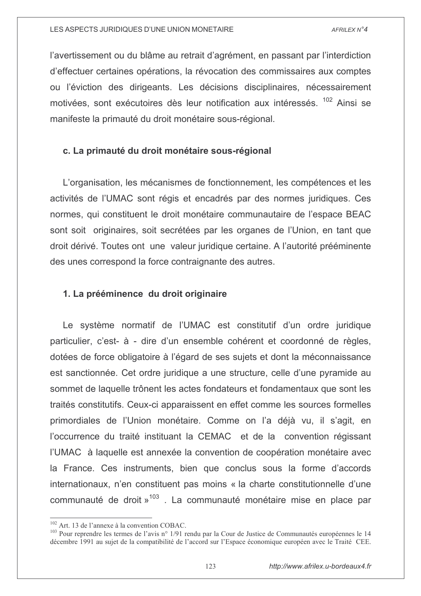l'avertissement ou du blâme au retrait d'agrément, en passant par l'interdiction d'effectuer certaines opérations, la révocation des commissaires aux comptes ou l'éviction des dirigeants. Les décisions disciplinaires, nécessairement motivées, sont exécutoires dès leur notification aux intéressés. <sup>102</sup> Ainsi se manifeste la primauté du droit monétaire sous-régional.

# c. La primauté du droit monétaire sous-régional

L'organisation, les mécanismes de fonctionnement, les compétences et les activités de l'UMAC sont régis et encadrés par des normes juridiques. Ces normes, qui constituent le droit monétaire communautaire de l'espace BEAC sont soit originaires, soit secrétées par les organes de l'Union, en tant que droit dérivé. Toutes ont une valeur juridique certaine. A l'autorité prééminente des unes correspond la force contraignante des autres.

# 1. La prééminence du droit originaire

Le système normatif de l'UMAC est constitutif d'un ordre juridique particulier, c'est- à - dire d'un ensemble cohérent et coordonné de règles, dotées de force obligatoire à l'égard de ses sujets et dont la méconnaissance est sanctionnée. Cet ordre juridique a une structure, celle d'une pyramide au sommet de laquelle trônent les actes fondateurs et fondamentaux que sont les traités constitutifs. Ceux-ci apparaissent en effet comme les sources formelles primordiales de l'Union monétaire. Comme on l'a déjà vu, il s'agit, en l'occurrence du traité instituant la CEMAC et de la convention régissant l'UMAC à laquelle est annexée la convention de coopération monétaire avec la France. Ces instruments, bien que conclus sous la forme d'accords internationaux, n'en constituent pas moins « la charte constitutionnelle d'une communauté de droit »<sup>103</sup>. La communauté monétaire mise en place par

<sup>&</sup>lt;sup>102</sup> Art. 13 de l'annexe à la convention COBAC.

<sup>&</sup>lt;sup>103</sup> Pour reprendre les termes de l'avis n° 1/91 rendu par la Cour de Justice de Communautés européennes le 14 décembre 1991 au sujet de la compatibilité de l'accord sur l'Espace économique européen avec le Traité CEE.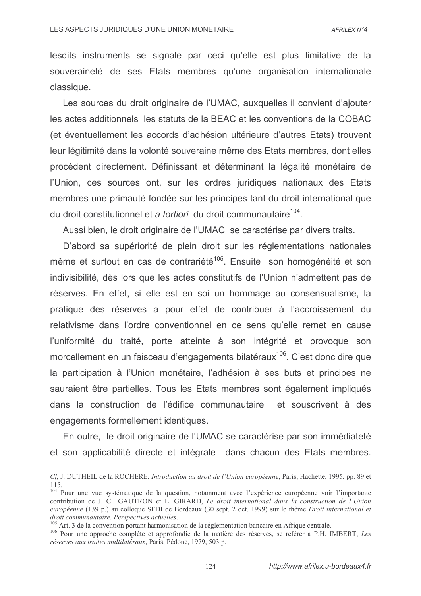lesdits instruments se signale par ceci qu'elle est plus limitative de la souveraineté de ses Etats membres qu'une organisation internationale classique.

Les sources du droit originaire de l'UMAC, auxquelles il convient d'aiouter les actes additionnels les statuts de la BEAC et les conventions de la COBAC (et éventuellement les accords d'adhésion ultérieure d'autres Etats) trouvent leur légitimité dans la volonté souveraine même des Etats membres, dont elles procèdent directement. Définissant et déterminant la légalité monétaire de l'Union, ces sources ont, sur les ordres juridiques nationaux des Etats membres une primauté fondée sur les principes tant du droit international que du droit constitutionnel et a *fortiori* du droit communautaire<sup>104</sup>.

Aussi bien, le droit originaire de l'UMAC se caractérise par divers traits.

D'abord sa supériorité de plein droit sur les réglementations nationales même et surtout en cas de contrariété<sup>105</sup>. Ensuite son homogénéité et son indivisibilité, dès lors que les actes constitutifs de l'Union n'admettent pas de réserves. En effet, si elle est en soi un hommage au consensualisme, la pratique des réserves a pour effet de contribuer à l'accroissement du relativisme dans l'ordre conventionnel en ce sens qu'elle remet en cause l'uniformité du traité, porte atteinte à son intégrité et provoque son morcellement en un faisceau d'engagements bilatéraux<sup>106</sup>. C'est donc dire que la participation à l'Union monétaire, l'adhésion à ses buts et principes ne sauraient être partielles. Tous les Etats membres sont également impliqués dans la construction de l'édifice communautaire et souscrivent à des engagements formellement identiques.

En outre, le droit originaire de l'UMAC se caractérise par son immédiateté et son applicabilité directe et intégrale dans chacun des Etats membres.

<sup>104</sup> Pour une vue systématique de la question, notamment avec l'expérience européenne voir l'importante contribution de J. Cl. GAUTRON et L. GIRARD, Le droit international dans la construction de l'Union européenne (139 p.) au colloque SFDI de Bordeaux (30 sept. 2 oct. 1999) sur le thème Droit international et droit communautaire. Perspectives actuelles.

<sup>105</sup> Art. 3 de la convention portant harmonisation de la réglementation bancaire en Afrique centrale.

106 Pour une approche complète et approfondie de la matière des réserves, se référer à P.H. IMBERT, Les réserves aux traités multilatéraux. Paris. Pédone, 1979, 503 p.

Cf, J. DUTHEIL de la ROCHERE, Introduction au droit de l'Union européenne, Paris, Hachette, 1995, pp. 89 et  $115.$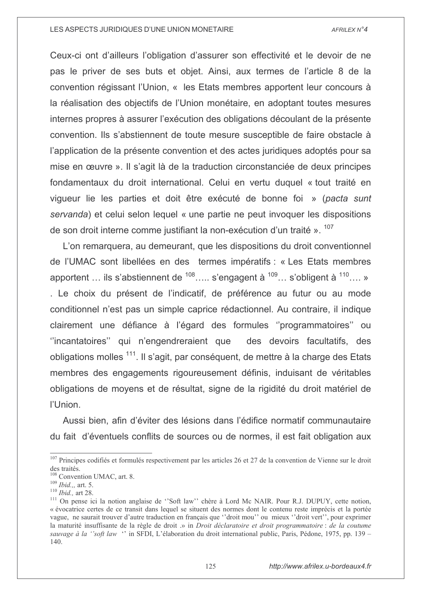Ceux-ci ont d'ailleurs l'obligation d'assurer son effectivité et le devoir de ne pas le priver de ses buts et objet. Ainsi, aux termes de l'article 8 de la convention régissant l'Union, « les Etats membres apportent leur concours à la réalisation des objectifs de l'Union monétaire, en adoptant toutes mesures internes propres à assurer l'exécution des obligations découlant de la présente convention. Ils s'abstiennent de toute mesure susceptible de faire obstacle à l'application de la présente convention et des actes juridiques adoptés pour sa mise en œuvre ». Il s'agit là de la traduction circonstanciée de deux principes fondamentaux du droit international. Celui en vertu duquel « tout traité en vigueur lie les parties et doit être exécuté de bonne foi » (pacta sunt servanda) et celui selon lequel « une partie ne peut invoquer les dispositions de son droit interne comme justifiant la non-exécution d'un traité ».<sup>107</sup>

L'on remarquera, au demeurant, que les dispositions du droit conventionnel de l'UMAC sont libellées en des termes impératifs : « Les Etats membres apportent ... ils s'abstiennent de  $108$ .... s'engagent à  $109$ ... s'obligent à  $110$ .... » . Le choix du présent de l'indicatif, de préférence au futur ou au mode conditionnel n'est pas un simple caprice rédactionnel. Au contraire, il indique clairement une défiance à l'égard des formules "programmatoires" ou "incantatoires" qui n'engendreraient que des devoirs facultatifs, des obligations molles <sup>111</sup>. Il s'agit, par conséquent, de mettre à la charge des Etats membres des engagements rigoureusement définis, induisant de véritables obligations de moyens et de résultat, signe de la rigidité du droit matériel de l'Union.

Aussi bien, afin d'éviter des lésions dans l'édifice normatif communautaire du fait d'éventuels conflits de sources ou de normes, il est fait obligation aux

 $107$  Principes codifiés et formulés respectivement par les articles 26 et 27 de la convention de Vienne sur le droit des traités.

<sup>&</sup>lt;sup>108</sup> Convention UMAC, art. 8.

 $109$  *Ibid.,,* art. 5.

 $110$  *Ibid.*, art 28.

<sup>&</sup>lt;sup>111</sup> On pense ici la notion anglaise de "Soft law" chère à Lord Mc NAIR. Pour R.J. DUPUY, cette notion, « évocatrice certes de ce transit dans lequel se situent des normes dont le contenu reste imprécis et la portée vague, ne saurait trouver d'autre traduction en français que "droit mou" ou mieux "droit vert", pour exprimer la maturité insuffisante de la règle de droit .» in Droit déclaratoire et droit programmatoire : de la coutume sauvage à la "soft law" in SFDI, L'élaboration du droit international public, Paris, Pédone, 1975, pp. 139 – 140.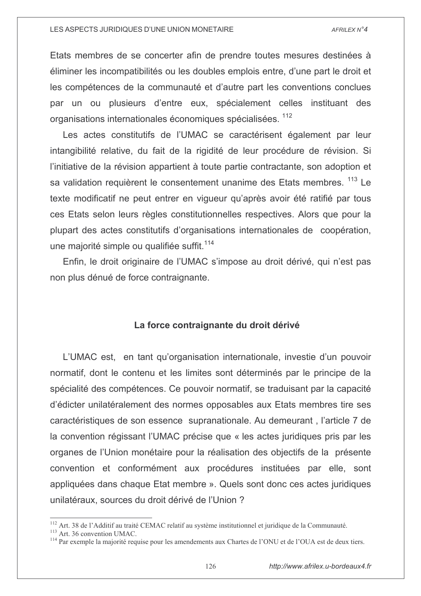Etats membres de se concerter afin de prendre toutes mesures destinées à éliminer les incompatibilités ou les doubles emplois entre, d'une part le droit et les compétences de la communauté et d'autre part les conventions conclues par un ou plusieurs d'entre eux, spécialement celles instituant des organisations internationales économiques spécialisées. <sup>112</sup>

Les actes constitutifs de l'UMAC se caractérisent également par leur intangibilité relative, du fait de la rigidité de leur procédure de révision. Si l'initiative de la révision appartient à toute partie contractante, son adoption et sa validation requièrent le consentement unanime des Etats membres. 113 Le texte modificatif ne peut entrer en vigueur qu'après avoir été ratifié par tous ces Etats selon leurs règles constitutionnelles respectives. Alors que pour la plupart des actes constitutifs d'organisations internationales de coopération, une maiorité simple ou qualifiée suffit.<sup>114</sup>

Enfin, le droit originaire de l'UMAC s'impose au droit dérivé, qui n'est pas non plus dénué de force contraignante.

# La force contraignante du droit dérivé

L'UMAC est, en tant qu'organisation internationale, investie d'un pouvoir normatif, dont le contenu et les limites sont déterminés par le principe de la spécialité des compétences. Ce pouvoir normatif, se traduisant par la capacité d'édicter unilatéralement des normes opposables aux Etats membres tire ses caractéristiques de son essence supranationale. Au demeurant, l'article 7 de la convention régissant l'UMAC précise que « les actes juridiques pris par les organes de l'Union monétaire pour la réalisation des objectifs de la présente convention et conformément aux procédures instituées par elle, sont appliquées dans chaque Etat membre ». Quels sont donc ces actes juridiques unilatéraux, sources du droit dérivé de l'Union?

<sup>&</sup>lt;sup>112</sup> Art. 38 de l'Additif au traité CEMAC relatif au système institutionnel et juridique de la Communauté.

<sup>&</sup>lt;sup>113</sup> Art. 36 convention UMAC.

<sup>&</sup>lt;sup>114</sup> Par exemple la majorité requise pour les amendements aux Chartes de l'ONU et de l'OUA est de deux tiers.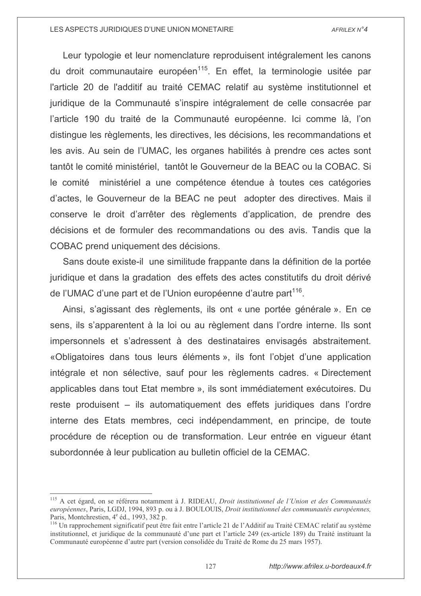Leur typologie et leur nomenclature reproduisent intégralement les canons du droit communautaire européen<sup>115</sup>. En effet, la terminologie usitée par l'article 20 de l'additif au traité CEMAC relatif au système institutionnel et juridique de la Communauté s'inspire intégralement de celle consacrée par l'article 190 du traité de la Communauté européenne. Ici comme là, l'on distingue les règlements, les directives, les décisions, les recommandations et les avis. Au sein de l'UMAC, les organes habilités à prendre ces actes sont tantôt le comité ministériel. tantôt le Gouverneur de la BEAC ou la COBAC. Si le comité ministériel a une compétence étendue à toutes ces catégories d'actes, le Gouverneur de la BEAC ne peut adopter des directives. Mais il conserve le droit d'arrêter des règlements d'application, de prendre des décisions et de formuler des recommandations ou des avis. Tandis que la COBAC prend uniquement des décisions.

Sans doute existe-il une similitude frappante dans la définition de la portée juridique et dans la gradation des effets des actes constitutifs du droit dérivé de l'UMAC d'une part et de l'Union européenne d'autre part<sup>116</sup>.

Ainsi, s'agissant des règlements, ils ont « une portée générale ». En ce sens, ils s'apparentent à la loi ou au règlement dans l'ordre interne. Ils sont impersonnels et s'adressent à des destinataires envisagés abstraitement. «Obligatoires dans tous leurs éléments», ils font l'objet d'une application intégrale et non sélective, sauf pour les règlements cadres. « Directement applicables dans tout Etat membre », ils sont immédiatement exécutoires. Du reste produisent – ils automatiquement des effets juridiques dans l'ordre interne des Etats membres, ceci indépendamment, en principe, de toute procédure de réception ou de transformation. Leur entrée en vigueur étant subordonnée à leur publication au bulletin officiel de la CEMAC.

<sup>&</sup>lt;sup>115</sup> A cet égard, on se référera notamment à J. RIDEAU, Droit institutionnel de l'Union et des Communautés européennes, Paris, LGDJ, 1994, 893 p. ou à J. BOULOUIS, Droit institutionnel des communautés européennes, Paris, Montchrestien, 4<sup>e</sup> éd., 1993, 382 p.

<sup>&</sup>lt;sup>116</sup> Un rapprochement significatif peut être fait entre l'article 21 de l'Additif au Traité CEMAC relatif au système institutionnel, et juridique de la communauté d'une part et l'article 249 (ex-article 189) du Traité instituant la Communauté européenne d'autre part (version consolidée du Traité de Rome du 25 mars 1957).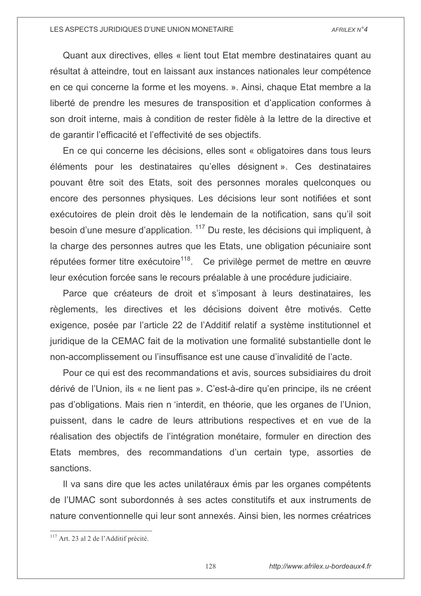Quant aux directives, elles « lient tout Etat membre destinataires quant au résultat à atteindre, tout en laissant aux instances nationales leur compétence en ce qui concerne la forme et les moyens. ». Ainsi, chaque Etat membre a la liberté de prendre les mesures de transposition et d'application conformes à son droit interne, mais à condition de rester fidèle à la lettre de la directive et de garantir l'efficacité et l'effectivité de ses objectifs.

En ce qui concerne les décisions, elles sont « obligatoires dans tous leurs éléments pour les destinataires qu'elles désignent ». Ces destinataires pouvant être soit des Etats, soit des personnes morales quelconques ou encore des personnes physiques. Les décisions leur sont notifiées et sont exécutoires de plein droit dès le lendemain de la notification, sans qu'il soit besoin d'une mesure d'application. <sup>117</sup> Du reste, les décisions qui impliquent, à la charge des personnes autres que les Etats, une obligation pécuniaire sont réputées former titre exécutoire<sup>118</sup>. Ce privilège permet de mettre en œuvre leur exécution forcée sans le recours préalable à une procédure judiciaire.

Parce que créateurs de droit et s'imposant à leurs destinataires, les règlements, les directives et les décisions doivent être motivés. Cette exigence, posée par l'article 22 de l'Additif relatif a système institutionnel et juridique de la CEMAC fait de la motivation une formalité substantielle dont le non-accomplissement ou l'insuffisance est une cause d'invalidité de l'acte.

Pour ce qui est des recommandations et avis, sources subsidiaires du droit dérivé de l'Union, ils « ne lient pas ». C'est-à-dire qu'en principe, ils ne créent pas d'obligations. Mais rien n 'interdit, en théorie, que les organes de l'Union, puissent, dans le cadre de leurs attributions respectives et en vue de la réalisation des objectifs de l'intégration monétaire, formuler en direction des Etats membres, des recommandations d'un certain type, assorties de sanctions.

Il va sans dire que les actes unilatéraux émis par les organes compétents de l'UMAC sont subordonnés à ses actes constitutifs et aux instruments de nature conventionnelle qui leur sont annexés. Ainsi bien, les normes créatrices

<sup>&</sup>lt;sup>117</sup> Art. 23 al 2 de l'Additif précité.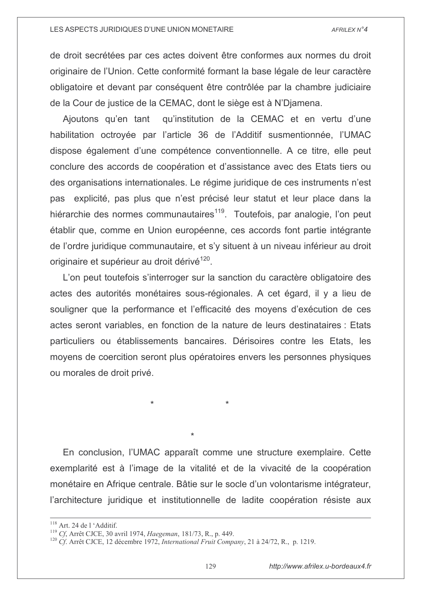de droit secrétées par ces actes doivent être conformes aux normes du droit originaire de l'Union. Cette conformité formant la base légale de leur caractère obligatoire et devant par conséquent être contrôlée par la chambre judiciaire de la Cour de justice de la CEMAC, dont le siège est à N'Djamena.

Ajoutons qu'en tant qu'institution de la CEMAC et en vertu d'une habilitation octroyée par l'article 36 de l'Additif susmentionnée, l'UMAC dispose également d'une compétence conventionnelle. A ce titre, elle peut conclure des accords de coopération et d'assistance avec des Etats tiers ou des organisations internationales. Le régime juridique de ces instruments n'est pas explicité, pas plus que n'est précisé leur statut et leur place dans la hiérarchie des normes communautaires<sup>119</sup>. Toutefois, par analogie, l'on peut établir que, comme en Union européenne, ces accords font partie intégrante de l'ordre juridique communautaire, et s'y situent à un niveau inférieur au droit originaire et supérieur au droit dérivé<sup>120</sup>.

L'on peut toutefois s'interroger sur la sanction du caractère obligatoire des actes des autorités monétaires sous-régionales. A cet égard, il y a lieu de souligner que la performance et l'efficacité des moyens d'exécution de ces actes seront variables, en fonction de la nature de leurs destinataires : Etats particuliers ou établissements bancaires. Dérisoires contre les Etats, les moyens de coercition seront plus opératoires envers les personnes physiques ou morales de droit privé.

En conclusion, l'UMAC apparaît comme une structure exemplaire. Cette exemplarité est à l'image de la vitalité et de la vivacité de la coopération monétaire en Afrique centrale. Bâtie sur le socle d'un volontarisme intégrateur, l'architecture juridique et institutionnelle de ladite coopération résiste aux

<sup>&</sup>lt;sup>118</sup> Art. 24 de l 'Additif.

<sup>&</sup>lt;sup>119</sup> Cf, Arrêt CJCE, 30 avril 1974, *Haegeman*, 181/73, R., p. 449.

<sup>&</sup>lt;sup>120</sup> Cf. Arrêt CJCE, 12 décembre 1972, International Fruit Company, 21 à 24/72, R., p. 1219.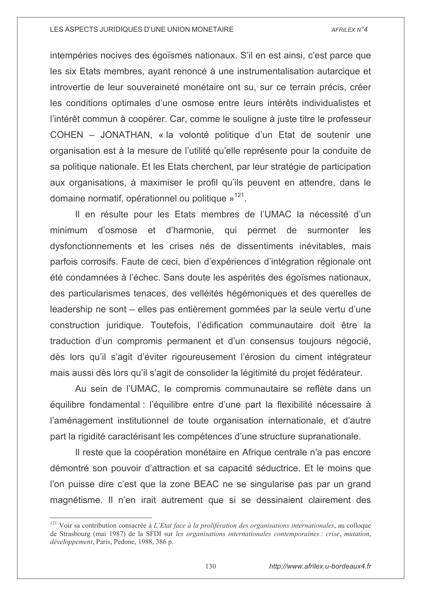intempéries nocives des égoïsmes nationaux. S'il en est ainsi, c'est parce que les six Etats membres, ayant renoncé à une instrumentalisation autarcique et introvertie de leur souveraineté monétaire ont su, sur ce terrain précis, créer les conditions optimales d'une osmose entre leurs intérêts individualistes et l'intérêt commun à coopérer. Car, comme le souligne à juste titre le professeur COHEN – JONATHAN, « la volonté politique d'un Etat de soutenir une organisation est à la mesure de l'utilité qu'elle représente pour la conduite de sa politique nationale. Et les Etats cherchent, par leur stratégie de participation aux organisations, à maximiser le profil qu'ils peuvent en attendre, dans le domaine normatif, opérationnel ou politique »<sup>121</sup>.

Il en résulte pour les Etats membres de l'UMAC la nécessité d'un d'osmose et d'harmonie, qui permet de minimum surmonter les dysfonctionnements et les crises nés de dissentiments inévitables, mais parfois corrosifs. Faute de ceci, bien d'expériences d'intégration régionale ont été condamnées à l'échec. Sans doute les aspérités des égoïsmes nationaux, des particularismes tenaces, des vellétiés hégémoniques et des querelles de leadership ne sont – elles pas entièrement gommées par la seule vertu d'une construction juridique. Toutefois, l'édification communautaire doit être la traduction d'un compromis permanent et d'un consensus toujours négocié, dès lors qu'il s'agit d'éviter rigoureusement l'érosion du ciment intégrateur mais aussi dès lors qu'il s'agit de consolider la légitimité du projet fédérateur.

Au sein de l'UMAC, le compromis communautaire se reflète dans un équilibre fondamental : l'équilibre entre d'une part la flexibilité nécessaire à l'aménagement institutionnel de toute organisation internationale, et d'autre part la rigidité caractérisant les compétences d'une structure supranationale.

Il reste que la coopération monétaire en Afrique centrale n'a pas encore démontré son pouvoir d'attraction et sa capacité séductrice. Et le moins que l'on puisse dire c'est que la zone BEAC ne se singularise pas par un grand magnétisme. Il n'en irait autrement que si se dessinaient clairement des

 $^{121}$  Voir sa contribution consacrée à L'Etat face à la prolifération des organisations internationales, au colloque de Strasbourg (mai 1987) de la SFDI sur les organisations internationales contemporaines : crise, mutation, développement. Paris. Pedone. 1988. 386 p.